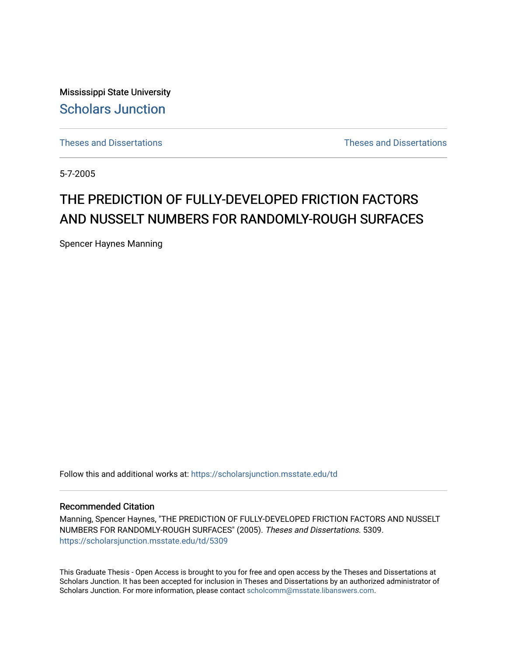Mississippi State University [Scholars Junction](https://scholarsjunction.msstate.edu/) 

[Theses and Dissertations](https://scholarsjunction.msstate.edu/td) [Theses and Dissertations](https://scholarsjunction.msstate.edu/theses-dissertations) 

5-7-2005

# THE PREDICTION OF FULLY-DEVELOPED FRICTION FACTORS AND NUSSELT NUMBERS FOR RANDOMLY-ROUGH SURFACES

Spencer Haynes Manning

Follow this and additional works at: [https://scholarsjunction.msstate.edu/td](https://scholarsjunction.msstate.edu/td?utm_source=scholarsjunction.msstate.edu%2Ftd%2F5309&utm_medium=PDF&utm_campaign=PDFCoverPages) 

#### Recommended Citation

Manning, Spencer Haynes, "THE PREDICTION OF FULLY-DEVELOPED FRICTION FACTORS AND NUSSELT NUMBERS FOR RANDOMLY-ROUGH SURFACES" (2005). Theses and Dissertations. 5309. [https://scholarsjunction.msstate.edu/td/5309](https://scholarsjunction.msstate.edu/td/5309?utm_source=scholarsjunction.msstate.edu%2Ftd%2F5309&utm_medium=PDF&utm_campaign=PDFCoverPages) 

This Graduate Thesis - Open Access is brought to you for free and open access by the Theses and Dissertations at Scholars Junction. It has been accepted for inclusion in Theses and Dissertations by an authorized administrator of Scholars Junction. For more information, please contact [scholcomm@msstate.libanswers.com.](mailto:scholcomm@msstate.libanswers.com)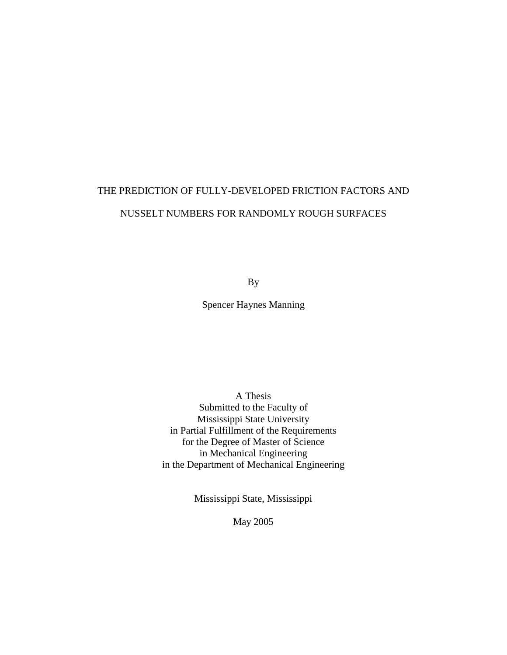# THE PREDICTION OF FULLY-DEVELOPED FRICTION FACTORS AND NUSSELT NUMBERS FOR RANDOMLY ROUGH SURFACES

By

Spencer Haynes Manning

A Thesis Submitted to the Faculty of Mississippi State University in Partial Fulfillment of the Requirements for the Degree of Master of Science in Mechanical Engineering in the Department of Mechanical Engineering

Mississippi State, Mississippi

May 2005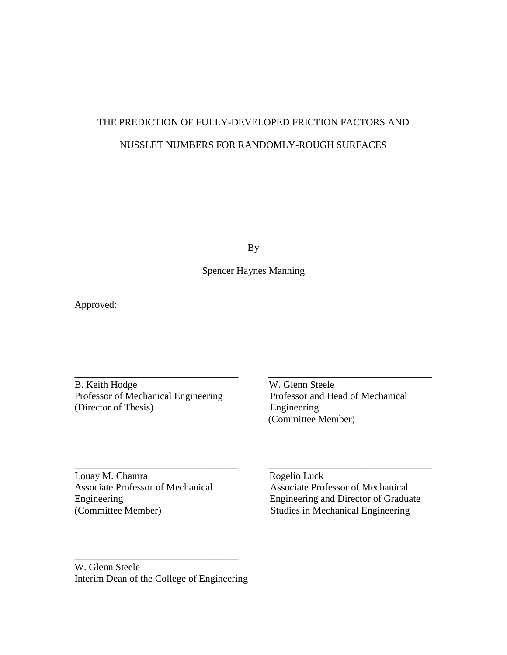## THE PREDICTION OF FULLY-DEVELOPED FRICTION FACTORS AND NUSSLET NUMBERS FOR RANDOMLY-ROUGH SURFACES

By

### Spencer Haynes Manning

\_\_\_\_\_\_\_\_\_\_\_\_\_\_\_\_\_\_\_\_\_\_\_\_\_\_\_\_\_\_\_\_\_ \_\_\_\_\_\_\_\_\_\_\_\_\_\_\_\_\_\_\_\_\_\_\_\_\_\_\_\_\_\_\_\_\_

\_\_\_\_\_\_\_\_\_\_\_\_\_\_\_\_\_\_\_\_\_\_\_\_\_\_\_\_\_\_\_\_\_ \_\_\_\_\_\_\_\_\_\_\_\_\_\_\_\_\_\_\_\_\_\_\_\_\_\_\_\_\_\_\_\_\_

Approved:

B. Keith Hodge W. Glenn Steele Professor of Mechanical Engineering Professor and Head of Mechanical (Director of Thesis) Engineering

(Committee Member)

Louay M. Chamra Rogelio Luck

Associate Professor of Mechanical Associate Professor of Mechanical Engineering Engineering and Director of Graduate (Committee Member) Studies in Mechanical Engineering

W. Glenn Steele Interim Dean of the College of Engineering

\_\_\_\_\_\_\_\_\_\_\_\_\_\_\_\_\_\_\_\_\_\_\_\_\_\_\_\_\_\_\_\_\_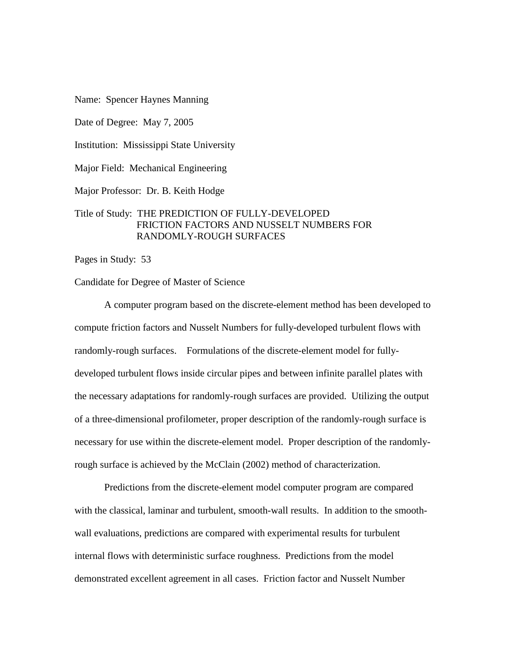Name: Spencer Haynes Manning

Date of Degree: May 7, 2005

Institution: Mississippi State University

Major Field: Mechanical Engineering

Major Professor: Dr. B. Keith Hodge

#### Title of Study: THE PREDICTION OF FULLY-DEVELOPED FRICTION FACTORS AND NUSSELT NUMBERS FOR RANDOMLY-ROUGH SURFACES

Pages in Study: 53

#### Candidate for Degree of Master of Science

 A computer program based on the discrete-element method has been developed to compute friction factors and Nusselt Numbers for fully-developed turbulent flows with randomly-rough surfaces. Formulations of the discrete-element model for fullydeveloped turbulent flows inside circular pipes and between infinite parallel plates with the necessary adaptations for randomly-rough surfaces are provided. Utilizing the output of a three-dimensional profilometer, proper description of the randomly-rough surface is necessary for use within the discrete-element model. Proper description of the randomlyrough surface is achieved by the McClain (2002) method of characterization.

 Predictions from the discrete-element model computer program are compared with the classical, laminar and turbulent, smooth-wall results. In addition to the smoothwall evaluations, predictions are compared with experimental results for turbulent internal flows with deterministic surface roughness. Predictions from the model demonstrated excellent agreement in all cases. Friction factor and Nusselt Number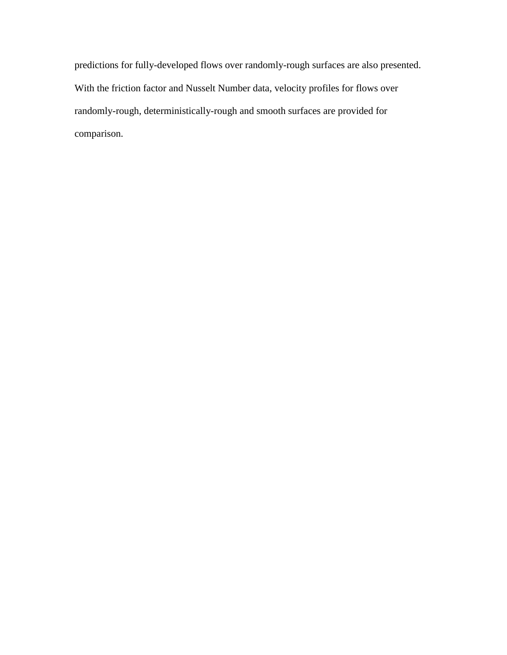predictions for fully-developed flows over randomly-rough surfaces are also presented. With the friction factor and Nusselt Number data, velocity profiles for flows over randomly-rough, deterministically-rough and smooth surfaces are provided for comparison.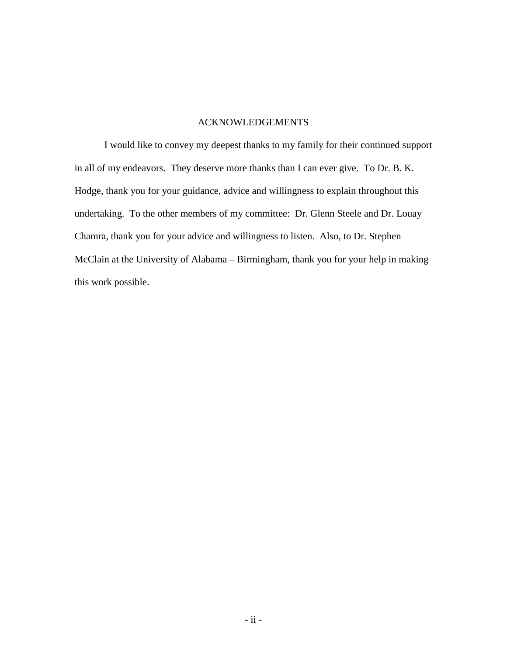#### ACKNOWLEDGEMENTS

 I would like to convey my deepest thanks to my family for their continued support in all of my endeavors. They deserve more thanks than I can ever give. To Dr. B. K. Hodge, thank you for your guidance, advice and willingness to explain throughout this undertaking. To the other members of my committee: Dr. Glenn Steele and Dr. Louay Chamra, thank you for your advice and willingness to listen. Also, to Dr. Stephen McClain at the University of Alabama – Birmingham, thank you for your help in making this work possible.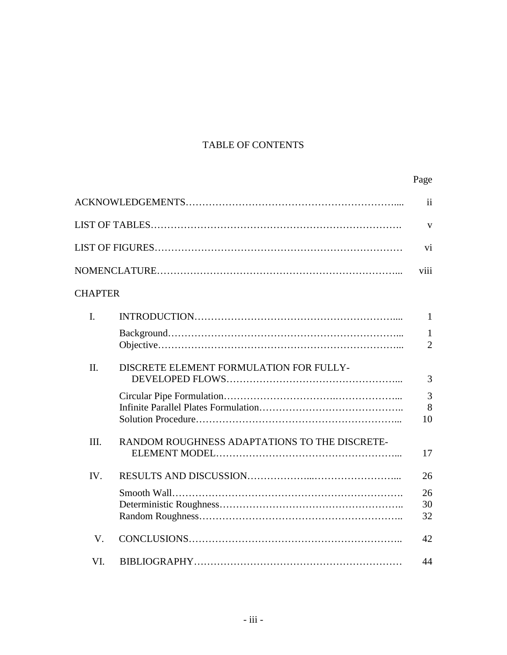## TABLE OF CONTENTS

|                |                                               | Page                           |
|----------------|-----------------------------------------------|--------------------------------|
|                |                                               | $\mathbf{ii}$                  |
|                |                                               | V                              |
|                |                                               | vi                             |
|                |                                               | viii                           |
| <b>CHAPTER</b> |                                               |                                |
| I.             |                                               | 1                              |
|                |                                               | $\mathbf{1}$<br>$\overline{2}$ |
| II.            | DISCRETE ELEMENT FORMULATION FOR FULLY-       | 3                              |
|                |                                               | 3<br>8<br>10                   |
| III.           | RANDOM ROUGHNESS ADAPTATIONS TO THE DISCRETE- | 17                             |
| IV.            |                                               | 26                             |
|                |                                               | 26<br>30<br>32                 |
| V.             |                                               | 42                             |
| VI.            |                                               | 44                             |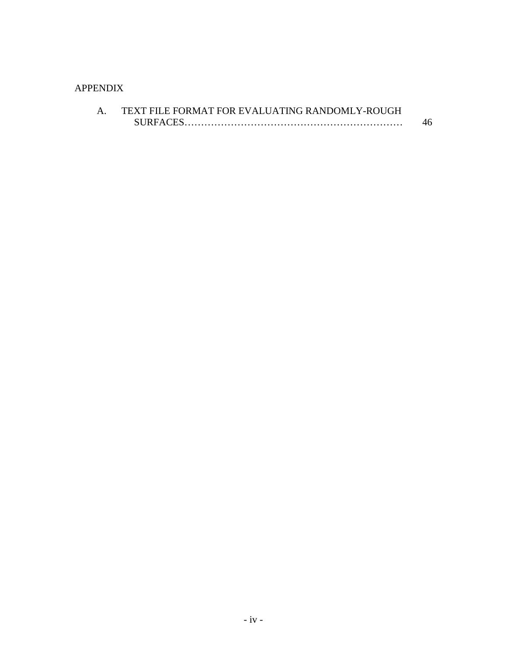## APPENDIX

| TEXT FILE FORMAT FOR EVALUATING RANDOMLY-ROUGH |    |
|------------------------------------------------|----|
| <b>SURFACES</b>                                | 46 |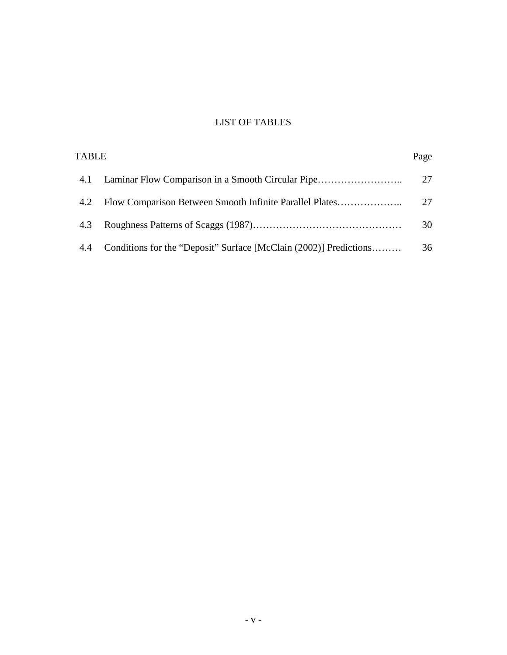## LIST OF TABLES

| <b>TABLE</b> |                                                                   | Page |
|--------------|-------------------------------------------------------------------|------|
| 4.1          |                                                                   | 27   |
| 4.2          | Flow Comparison Between Smooth Infinite Parallel Plates           | 27   |
| 4.3          |                                                                   | 30   |
| 4.4          | Conditions for the "Deposit" Surface [McClain (2002)] Predictions | 36   |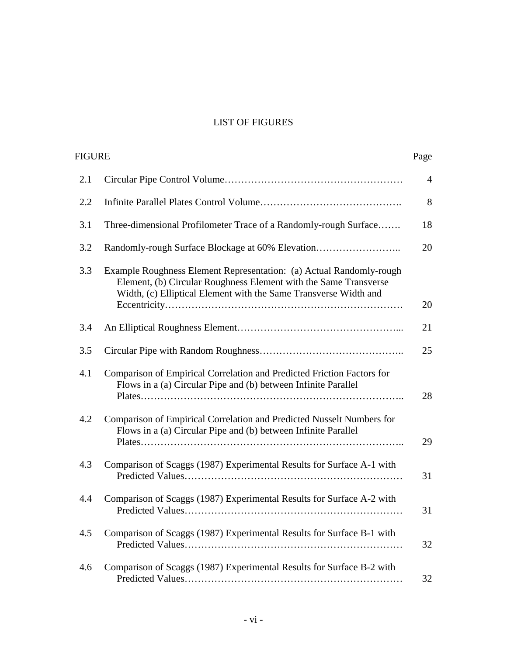## LIST OF FIGURES

| <b>FIGURE</b> |                                                                                                                                                                                                             | Page           |
|---------------|-------------------------------------------------------------------------------------------------------------------------------------------------------------------------------------------------------------|----------------|
| 2.1           |                                                                                                                                                                                                             | $\overline{4}$ |
| 2.2           |                                                                                                                                                                                                             | 8              |
| 3.1           | Three-dimensional Profilometer Trace of a Randomly-rough Surface                                                                                                                                            | 18             |
| 3.2           | Randomly-rough Surface Blockage at 60% Elevation                                                                                                                                                            | 20             |
| 3.3           | Example Roughness Element Representation: (a) Actual Randomly-rough<br>Element, (b) Circular Roughness Element with the Same Transverse<br>Width, (c) Elliptical Element with the Same Transverse Width and | 20             |
| 3.4           |                                                                                                                                                                                                             | 21             |
| 3.5           |                                                                                                                                                                                                             | 25             |
| 4.1           | Comparison of Empirical Correlation and Predicted Friction Factors for<br>Flows in a (a) Circular Pipe and (b) between Infinite Parallel                                                                    | 28             |
| 4.2           | Comparison of Empirical Correlation and Predicted Nusselt Numbers for<br>Flows in a (a) Circular Pipe and (b) between Infinite Parallel                                                                     | 29             |
| 4.3           | Comparison of Scaggs (1987) Experimental Results for Surface A-1 with                                                                                                                                       | 31             |
| 4.4           | Comparison of Scaggs (1987) Experimental Results for Surface A-2 with                                                                                                                                       | 31             |
| 4.5           | Comparison of Scaggs (1987) Experimental Results for Surface B-1 with                                                                                                                                       | 32             |
| 4.6           | Comparison of Scaggs (1987) Experimental Results for Surface B-2 with                                                                                                                                       | 32             |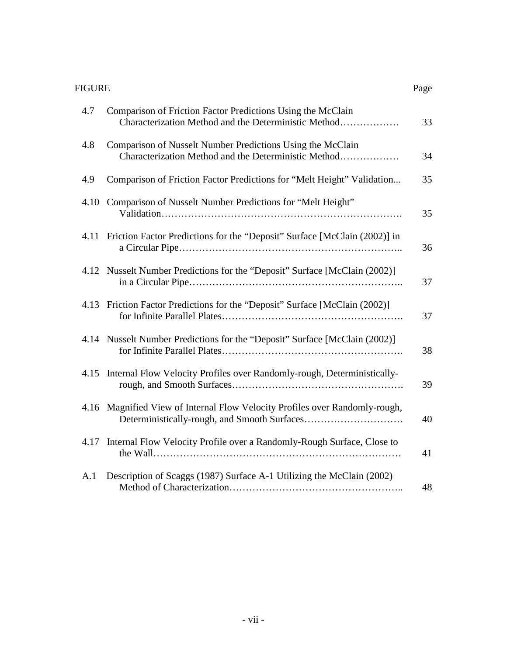### FIGURE

| 4.7  | Comparison of Friction Factor Predictions Using the McClain<br>Characterization Method and the Deterministic Method | 33 |
|------|---------------------------------------------------------------------------------------------------------------------|----|
| 4.8  | Comparison of Nusselt Number Predictions Using the McClain<br>Characterization Method and the Deterministic Method  | 34 |
| 4.9  | Comparison of Friction Factor Predictions for "Melt Height" Validation                                              | 35 |
|      | 4.10 Comparison of Nusselt Number Predictions for "Melt Height"                                                     | 35 |
| 4.11 | Friction Factor Predictions for the "Deposit" Surface [McClain (2002)] in                                           | 36 |
|      | 4.12 Nusselt Number Predictions for the "Deposit" Surface [McClain (2002)]                                          | 37 |
|      | 4.13 Friction Factor Predictions for the "Deposit" Surface [McClain (2002)]                                         | 37 |
| 4.14 | Nusselt Number Predictions for the "Deposit" Surface [McClain (2002)]                                               | 38 |
| 4.15 | Internal Flow Velocity Profiles over Randomly-rough, Deterministically-                                             | 39 |
|      | 4.16 Magnified View of Internal Flow Velocity Profiles over Randomly-rough,                                         | 40 |
| 4.17 | Internal Flow Velocity Profile over a Randomly-Rough Surface, Close to                                              | 41 |
| A.1  | Description of Scaggs (1987) Surface A-1 Utilizing the McClain (2002)                                               | 48 |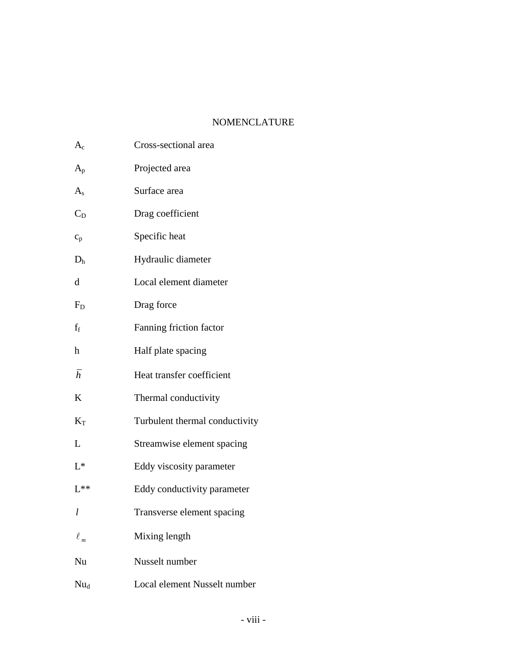### NOMENCLATURE

| $\rm A_c$               | Cross-sectional area           |
|-------------------------|--------------------------------|
| $A_{\rm p}$             | Projected area                 |
| $A_{s}$                 | Surface area                   |
| $\mathrm{C_{D}}$        | Drag coefficient               |
| $c_p$                   | Specific heat                  |
| D <sub>h</sub>          | Hydraulic diameter             |
| d                       | Local element diameter         |
| $\rm F_D$               | Drag force                     |
| $\mathrm{f}_\mathrm{f}$ | Fanning friction factor        |
| h                       | Half plate spacing             |
| $\bar{h}$               | Heat transfer coefficient      |
| K                       | Thermal conductivity           |
| $\rm K_T$               | Turbulent thermal conductivity |
| L                       | Streamwise element spacing     |
| $L^*$                   | Eddy viscosity parameter       |
| $L^{**}$                | Eddy conductivity parameter    |
|                         | Transverse element spacing     |
| $\ell$ $_m$             | Mixing length                  |
| Nu                      | Nusselt number                 |
| $Nu_{d}$                | Local element Nusselt number   |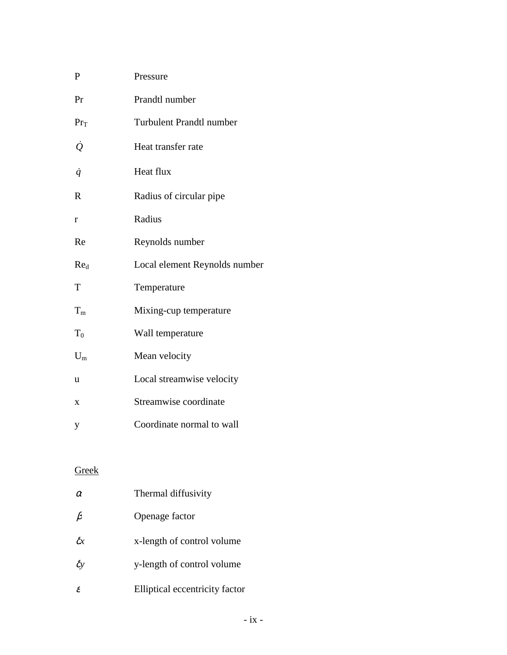| P                   | Pressure                        |
|---------------------|---------------------------------|
| Pr                  | Prandtl number                  |
| $Pr_T$              | <b>Turbulent Prandtl number</b> |
| $\dot{\mathcal{Q}}$ | Heat transfer rate              |
| $\dot{q}$           | Heat flux                       |
| R                   | Radius of circular pipe         |
| r                   | Radius                          |
| Re                  | Reynolds number                 |
| Re <sub>d</sub>     | Local element Reynolds number   |
| T                   | Temperature                     |
| $T_{m}$             | Mixing-cup temperature          |
| $T_0$               | Wall temperature                |
| $U_{m}$             | Mean velocity                   |
| u                   | Local streamwise velocity       |
| X                   | Streamwise coordinate           |
| y                   | Coordinate normal to wall       |
|                     |                                 |

## Greek

| $\alpha$      | Thermal diffusivity            |
|---------------|--------------------------------|
| $\beta$       | Openage factor                 |
| $\delta x$    | x-length of control volume     |
| $\delta y$    | y-length of control volume     |
| $\mathcal{E}$ | Elliptical eccentricity factor |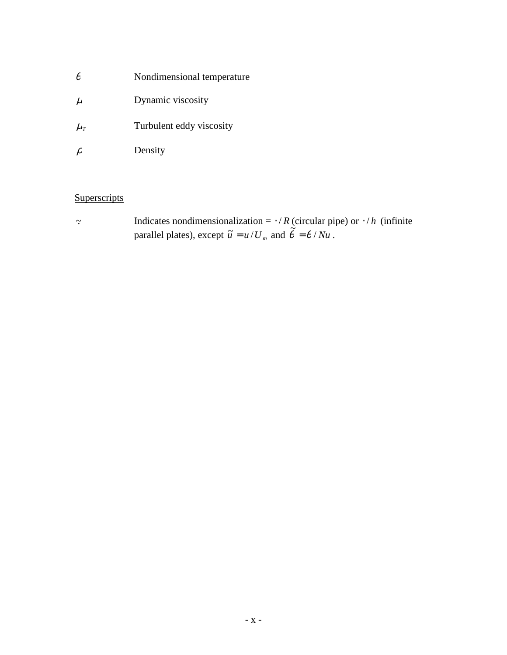- $\theta$  Nondimensional temperature
- $\mu$  Dynamic viscosity
- $\mu$ <sub>*T*</sub> Turbulent eddy viscosity
- $\rho$  Density

## **Superscripts**

~. Indicates nondimensionalization = ⋅ / *R* (circular pipe) or ⋅ / *h* (infinite parallel plates), except  $\tilde{u} = u/U_m$  and  $\tilde{\theta} = \theta / Nu$ .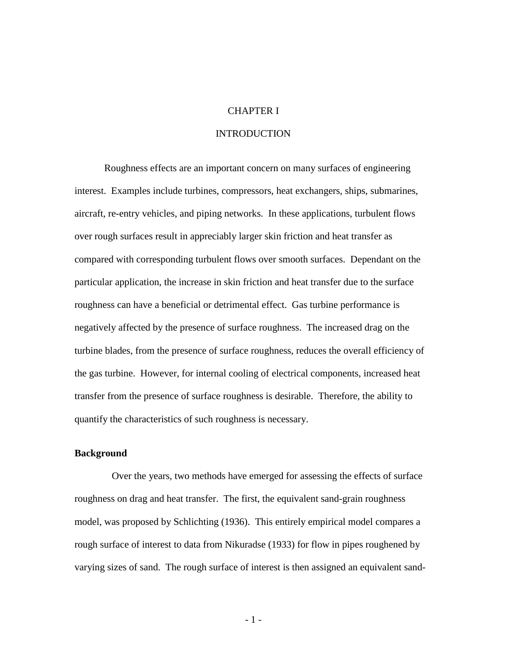#### CHAPTER I

#### **INTRODUCTION**

Roughness effects are an important concern on many surfaces of engineering interest. Examples include turbines, compressors, heat exchangers, ships, submarines, aircraft, re-entry vehicles, and piping networks. In these applications, turbulent flows over rough surfaces result in appreciably larger skin friction and heat transfer as compared with corresponding turbulent flows over smooth surfaces. Dependant on the particular application, the increase in skin friction and heat transfer due to the surface roughness can have a beneficial or detrimental effect. Gas turbine performance is negatively affected by the presence of surface roughness. The increased drag on the turbine blades, from the presence of surface roughness, reduces the overall efficiency of the gas turbine. However, for internal cooling of electrical components, increased heat transfer from the presence of surface roughness is desirable. Therefore, the ability to quantify the characteristics of such roughness is necessary.

#### **Background**

 Over the years, two methods have emerged for assessing the effects of surface roughness on drag and heat transfer. The first, the equivalent sand-grain roughness model, was proposed by Schlichting (1936). This entirely empirical model compares a rough surface of interest to data from Nikuradse (1933) for flow in pipes roughened by varying sizes of sand. The rough surface of interest is then assigned an equivalent sand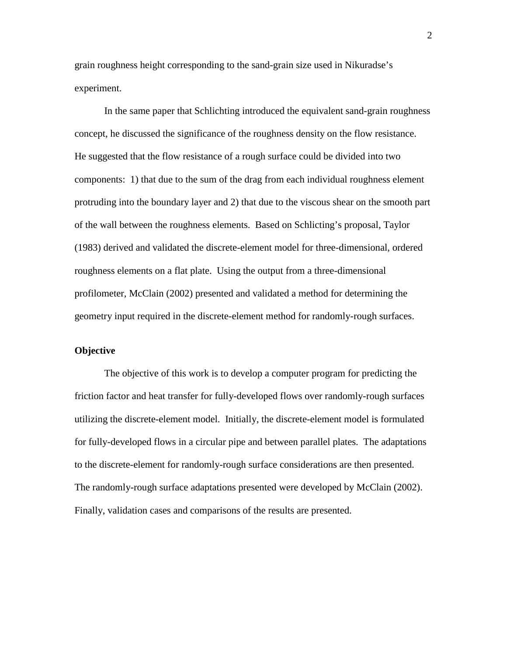grain roughness height corresponding to the sand-grain size used in Nikuradse's experiment.

 In the same paper that Schlichting introduced the equivalent sand-grain roughness concept, he discussed the significance of the roughness density on the flow resistance. He suggested that the flow resistance of a rough surface could be divided into two components: 1) that due to the sum of the drag from each individual roughness element protruding into the boundary layer and 2) that due to the viscous shear on the smooth part of the wall between the roughness elements. Based on Schlicting's proposal, Taylor (1983) derived and validated the discrete-element model for three-dimensional, ordered roughness elements on a flat plate. Using the output from a three-dimensional profilometer, McClain (2002) presented and validated a method for determining the geometry input required in the discrete-element method for randomly-rough surfaces.

#### **Objective**

 The objective of this work is to develop a computer program for predicting the friction factor and heat transfer for fully-developed flows over randomly-rough surfaces utilizing the discrete-element model. Initially, the discrete-element model is formulated for fully-developed flows in a circular pipe and between parallel plates. The adaptations to the discrete-element for randomly-rough surface considerations are then presented. The randomly-rough surface adaptations presented were developed by McClain (2002). Finally, validation cases and comparisons of the results are presented.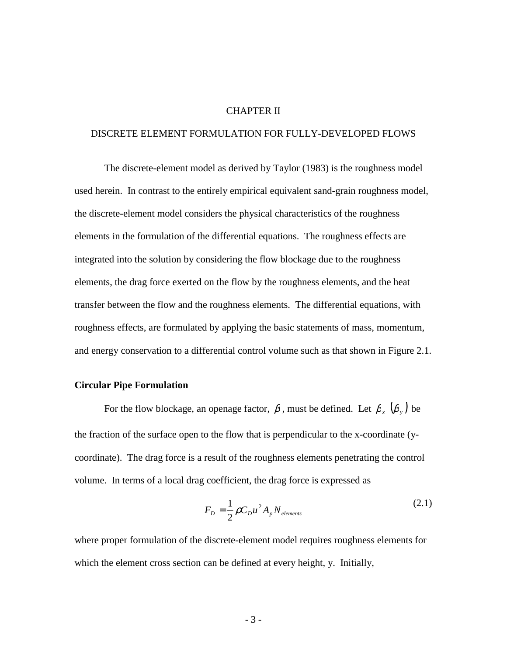#### CHAPTER II

#### DISCRETE ELEMENT FORMULATION FOR FULLY-DEVELOPED FLOWS

 The discrete-element model as derived by Taylor (1983) is the roughness model used herein. In contrast to the entirely empirical equivalent sand-grain roughness model, the discrete-element model considers the physical characteristics of the roughness elements in the formulation of the differential equations. The roughness effects are integrated into the solution by considering the flow blockage due to the roughness elements, the drag force exerted on the flow by the roughness elements, and the heat transfer between the flow and the roughness elements. The differential equations, with roughness effects, are formulated by applying the basic statements of mass, momentum, and energy conservation to a differential control volume such as that shown in Figure 2.1.

#### **Circular Pipe Formulation**

For the flow blockage, an openage factor,  $\beta$ , must be defined. Let  $\beta_x$   $(\beta_y)$  be the fraction of the surface open to the flow that is perpendicular to the x-coordinate (ycoordinate). The drag force is a result of the roughness elements penetrating the control volume. In terms of a local drag coefficient, the drag force is expressed as

$$
F_D = \frac{1}{2} \rho C_D u^2 A_p N_{\text{elements}} \tag{2.1}
$$

where proper formulation of the discrete-element model requires roughness elements for which the element cross section can be defined at every height, y. Initially,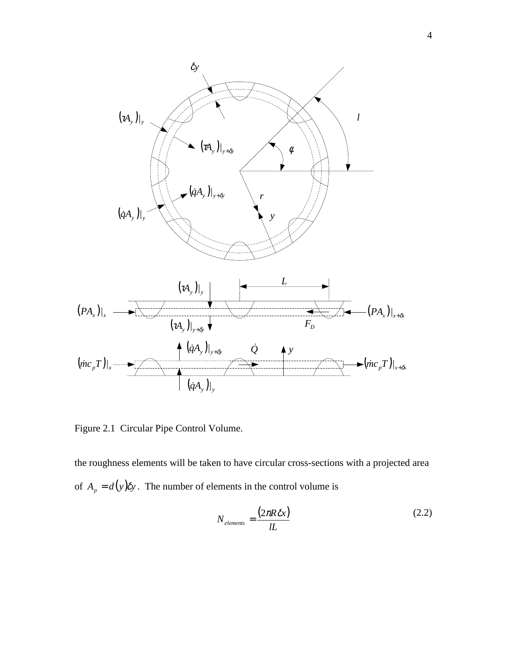

Figure 2.1 Circular Pipe Control Volume.

the roughness elements will be taken to have circular cross-sections with a projected area of  $A_p = d(y)$   $\delta y$ . The number of elements in the control volume is

$$
N_{\text{elements}} = \frac{(2\pi R \delta x)}{lL} \tag{2.2}
$$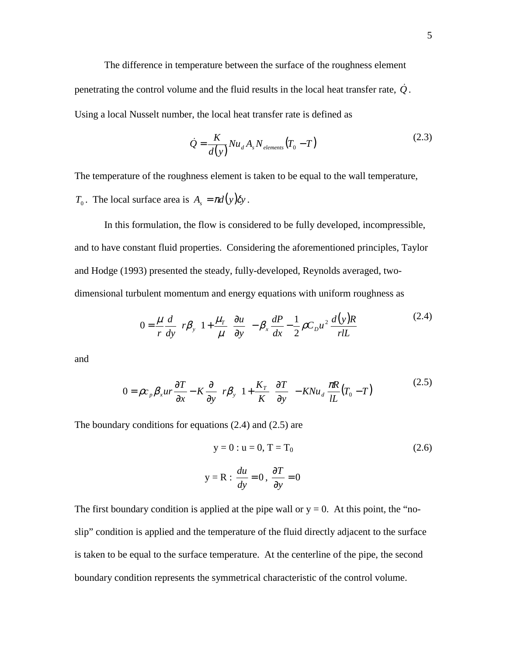The difference in temperature between the surface of the roughness element penetrating the control volume and the fluid results in the local heat transfer rate,  $\dot{Q}$ . Using a local Nusselt number, the local heat transfer rate is defined as

$$
\dot{Q} = \frac{K}{d(y)} Nu_d A_s N_{\text{elements}} (T_0 - T) \tag{2.3}
$$

The temperature of the roughness element is taken to be equal to the wall temperature,

*T*<sub>0</sub>. The local surface area is  $A_s = \pi d(y) \delta y$ .

 In this formulation, the flow is considered to be fully developed, incompressible, and to have constant fluid properties. Considering the aforementioned principles, Taylor and Hodge (1993) presented the steady, fully-developed, Reynolds averaged, twodimensional turbulent momentum and energy equations with uniform roughness as

$$
0 = \frac{\mu}{r} \frac{d}{dy} \left[ r \beta_y \left( 1 + \frac{\mu_r}{\mu} \right) \frac{\partial u}{\partial y} \right] - \beta_x \frac{dP}{dx} - \frac{1}{2} \rho C_D u^2 \frac{d(y)R}{rlL}
$$
 (2.4)

and

$$
0 = \rho c_p \beta_x u r \frac{\partial T}{\partial x} - K \frac{\partial}{\partial y} \left[ r \beta_y \left( 1 + \frac{K_T}{K} \right) \frac{\partial T}{\partial y} \right] - K N u_d \frac{\pi R}{lL} (T_0 - T) \tag{2.5}
$$

The boundary conditions for equations (2.4) and (2.5) are

$$
y = 0: u = 0, T = T_0
$$
\n
$$
y = R: \frac{du}{dy} = 0, \frac{\partial T}{\partial y} = 0
$$
\n(2.6)

The first boundary condition is applied at the pipe wall or  $y = 0$ . At this point, the "noslip" condition is applied and the temperature of the fluid directly adjacent to the surface is taken to be equal to the surface temperature. At the centerline of the pipe, the second boundary condition represents the symmetrical characteristic of the control volume.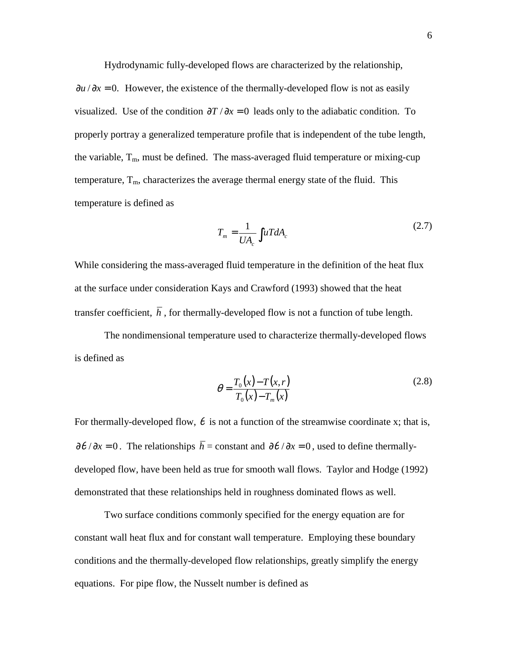Hydrodynamic fully-developed flows are characterized by the relationship,

 $\partial u / \partial x = 0$ . However, the existence of the thermally-developed flow is not as easily visualized. Use of the condition  $\partial T / \partial x = 0$  leads only to the adiabatic condition. To properly portray a generalized temperature profile that is independent of the tube length, the variable,  $T_m$ , must be defined. The mass-averaged fluid temperature or mixing-cup temperature,  $T_m$ , characterizes the average thermal energy state of the fluid. This temperature is defined as

$$
T_m = \frac{1}{UA_c} \int uT dA_c \tag{2.7}
$$

While considering the mass-averaged fluid temperature in the definition of the heat flux at the surface under consideration Kays and Crawford (1993) showed that the heat transfer coefficient,  $\overline{h}$ , for thermally-developed flow is not a function of tube length.

 The nondimensional temperature used to characterize thermally-developed flows is defined as

$$
\theta = \frac{T_0(x) - T(x, r)}{T_0(x) - T_m(x)}\tag{2.8}
$$

For thermally-developed flow,  $\theta$  is not a function of the streamwise coordinate x; that is,  $\frac{\partial \theta}{\partial x} = 0$ . The relationships  $\overline{h}$  = constant and  $\frac{\partial \theta}{\partial x} = 0$ , used to define thermallydeveloped flow, have been held as true for smooth wall flows. Taylor and Hodge (1992) demonstrated that these relationships held in roughness dominated flows as well.

 Two surface conditions commonly specified for the energy equation are for constant wall heat flux and for constant wall temperature. Employing these boundary conditions and the thermally-developed flow relationships, greatly simplify the energy equations. For pipe flow, the Nusselt number is defined as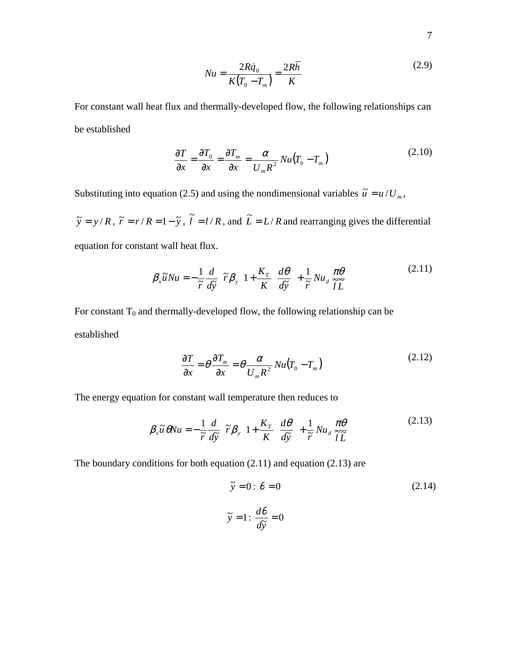$$
Nu = \frac{2R\dot{q}_0}{K(T_0 - T_m)} = \frac{2R\overline{h}}{K}
$$
 (2.9)

For constant wall heat flux and thermally-developed flow, the following relationships can be established

$$
\frac{\partial T}{\partial x} = \frac{\partial T_0}{\partial x} = \frac{\partial T_m}{\partial x} = \frac{\alpha}{U_m R^2} Nu(T_0 - T_m)
$$
\n(2.10)

Substituting into equation (2.5) and using the nondimensional variables  $\tilde{u} = u/U_m$ ,

 $\tilde{y} = y/R$ ,  $\tilde{r} = r/R = 1 - \tilde{y}$ ,  $\tilde{l} = l/R$ , and  $\tilde{L} = L/R$  and rearranging gives the differential equation for constant wall heat flux.

$$
\beta_x \widetilde{u}Nu = -\frac{1}{\widetilde{r}}\frac{d}{d\widetilde{y}}\left[\widetilde{r}\beta_y\left(1 + \frac{K_{\widetilde{r}}}{K}\right)\frac{d\theta}{d\widetilde{y}}\right] + \frac{1}{\widetilde{r}}Nu_d\frac{\pi\theta}{\widetilde{l}\widetilde{L}}\tag{2.11}
$$

For constant  $T_0$  and thermally-developed flow, the following relationship can be established

$$
\frac{\partial T}{\partial x} = \theta \frac{\partial T_m}{\partial x} = \theta \frac{\alpha}{U_m R^2} Nu(T_0 - T_m)
$$
\n(2.12)

The energy equation for constant wall temperature then reduces to

$$
\beta_x \widetilde{u} \, \theta Nu = -\frac{1}{\widetilde{r}} \frac{d}{d\widetilde{y}} \left[ \widetilde{r} \beta_y \left( 1 + \frac{K_T}{K} \right) \frac{d\theta}{d\widetilde{y}} \right] + \frac{1}{\widetilde{r}} N u_d \, \frac{\pi \theta}{\widetilde{l} \, \widetilde{L}} \tag{2.13}
$$

The boundary conditions for both equation (2.11) and equation (2.13) are

$$
\tilde{y} = 0: \theta = 0
$$
\n
$$
\tilde{y} = 1: \frac{d\theta}{d\tilde{y}} = 0
$$
\n(2.14)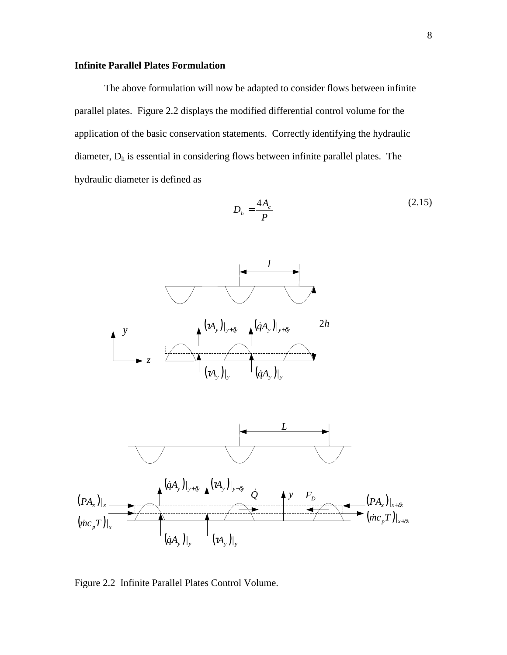#### **Infinite Parallel Plates Formulation**

The above formulation will now be adapted to consider flows between infinite parallel plates. Figure 2.2 displays the modified differential control volume for the application of the basic conservation statements. Correctly identifying the hydraulic diameter,  $D_h$  is essential in considering flows between infinite parallel plates. The hydraulic diameter is defined as

$$
D_h = \frac{4A_c}{P}
$$
 (2.15)





Figure 2.2 Infinite Parallel Plates Control Volume.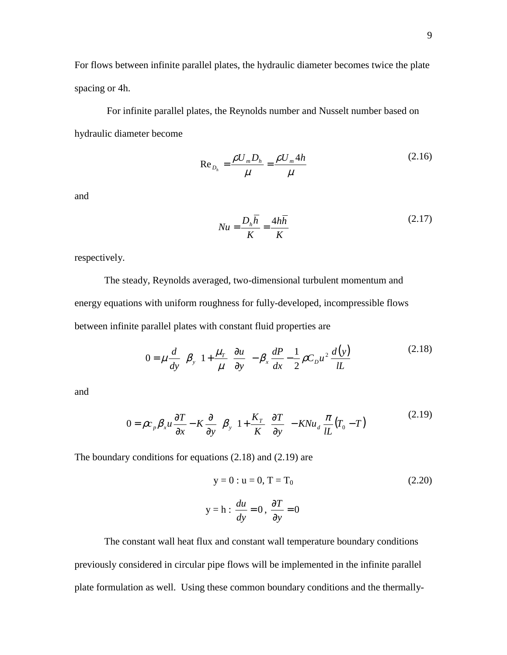For flows between infinite parallel plates, the hydraulic diameter becomes twice the plate spacing or 4h.

 For infinite parallel plates, the Reynolds number and Nusselt number based on hydraulic diameter become

$$
\text{Re}_{D_h} = \frac{\rho U_m D_h}{\mu} = \frac{\rho U_m 4h}{\mu} \tag{2.16}
$$

and

$$
Nu = \frac{D_h \overline{h}}{K} = \frac{4h\overline{h}}{K}
$$
 (2.17)

respectively.

 The steady, Reynolds averaged, two-dimensional turbulent momentum and energy equations with uniform roughness for fully-developed, incompressible flows between infinite parallel plates with constant fluid properties are

$$
0 = \mu \frac{d}{dy} \left[ \beta_y \left( 1 + \frac{\mu_r}{\mu} \right) \frac{\partial u}{\partial y} \right] - \beta_x \frac{dP}{dx} - \frac{1}{2} \rho C_D u^2 \frac{d(y)}{lL}
$$
 (2.18)

and

$$
0 = \rho c_p \beta_x u \frac{\partial T}{\partial x} - K \frac{\partial}{\partial y} \left[ \beta_y \left( 1 + \frac{K_T}{K} \right) \frac{\partial T}{\partial y} \right] - KNu_d \frac{\pi}{lL} (T_0 - T) \tag{2.19}
$$

The boundary conditions for equations (2.18) and (2.19) are

$$
y = 0: u = 0, T = T_0
$$
\n
$$
y = h: \frac{du}{dy} = 0, \frac{\partial T}{\partial y} = 0
$$
\n(2.20)

 The constant wall heat flux and constant wall temperature boundary conditions previously considered in circular pipe flows will be implemented in the infinite parallel plate formulation as well. Using these common boundary conditions and the thermally-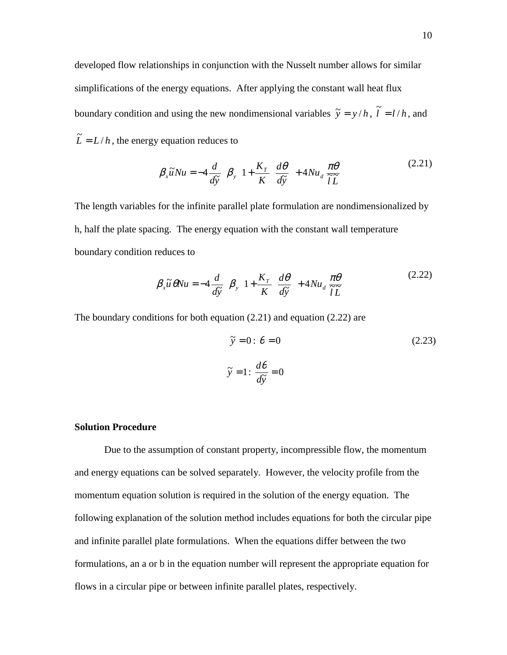developed flow relationships in conjunction with the Nusselt number allows for similar simplifications of the energy equations. After applying the constant wall heat flux boundary condition and using the new nondimensional variables  $\tilde{y} = y/h$ ,  $\tilde{l} = l/h$ , and  $\tilde{L} = L/h$ , the energy equation reduces to

$$
\beta_x \tilde{u}Nu = -4 \frac{d}{d\tilde{y}} \left[ \beta_y \left( 1 + \frac{K_T}{K} \right) \frac{d\theta}{d\tilde{y}} \right] + 4Nu_d \frac{\pi\theta}{\tilde{l}\tilde{L}}
$$
\n(2.21)

The length variables for the infinite parallel plate formulation are nondimensionalized by h, half the plate spacing. The energy equation with the constant wall temperature boundary condition reduces to

$$
\beta_x \widetilde{u} \, \theta Nu = -4 \frac{d}{d\widetilde{y}} \left[ \beta_y \left( 1 + \frac{K_T}{K} \right) \frac{d\theta}{d\widetilde{y}} \right] + 4 Nu_d \, \frac{\pi \theta}{\widetilde{l} \, \widetilde{L}} \tag{2.22}
$$

The boundary conditions for both equation (2.21) and equation (2.22) are

$$
\tilde{y} = 0: \theta = 0
$$
\n
$$
\tilde{y} = 1: \frac{d\theta}{d\tilde{y}} = 0
$$
\n(2.23)

#### **Solution Procedure**

Due to the assumption of constant property, incompressible flow, the momentum and energy equations can be solved separately. However, the velocity profile from the momentum equation solution is required in the solution of the energy equation. The following explanation of the solution method includes equations for both the circular pipe and infinite parallel plate formulations. When the equations differ between the two formulations, an a or b in the equation number will represent the appropriate equation for flows in a circular pipe or between infinite parallel plates, respectively.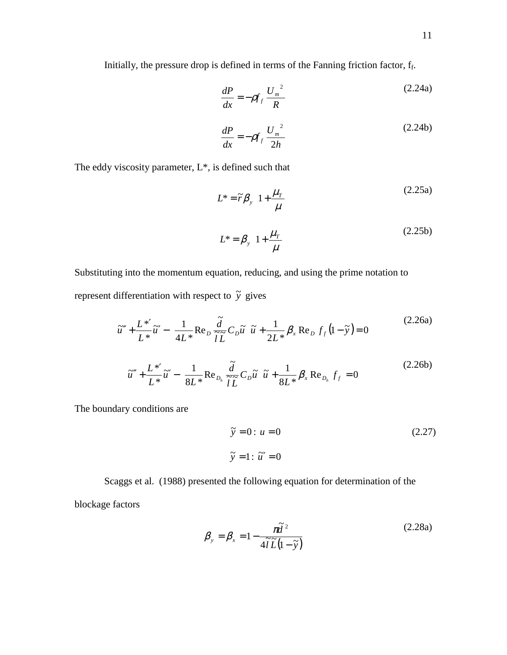Initially, the pressure drop is defined in terms of the Fanning friction factor,  $f_f$ .

$$
\frac{dP}{dx} = -\rho f_f \frac{U_m^2}{R}
$$
 (2.24a)

$$
\frac{dP}{dx} = -\rho f_f \frac{U_m^2}{2h}
$$
 (2.24b)

The eddy viscosity parameter, L\*, is defined such that

$$
L^* = \tilde{r} \beta_y \left( 1 + \frac{\mu_r}{\mu} \right)
$$
\n
$$
L^* = \beta_y \left( 1 + \frac{\mu_r}{\mu} \right)
$$
\n(2.25a)\n(2.25b)

Substituting into the momentum equation, reducing, and using the prime notation to represent differentiation with respect to  $\tilde{y}$  gives

$$
\tilde{u}'' + \frac{L^*}{L^*} \tilde{u}' - \left(\frac{1}{4L^*} \text{Re}_D \frac{\tilde{d}}{\tilde{l}\tilde{L}} C_D \tilde{u}\right) \tilde{u} + \frac{1}{2L^*} \beta_x \text{Re}_D f_f (1 - \tilde{y}) = 0
$$
\n
$$
\tilde{u}'' + \frac{L^*'}{L^*} \tilde{u}' - \left(\frac{1}{8L^*} \text{Re}_{D_h} \frac{\tilde{d}}{\tilde{l}\tilde{L}} C_D \tilde{u}\right) \tilde{u} + \frac{1}{8L^*} \beta_x \text{Re}_{D_h} f_f = 0
$$
\n(2.26b)

The boundary conditions are

$$
\tilde{y} = 0: u = 0
$$
\n
$$
\tilde{y} = 1: \tilde{u}' = 0
$$
\n(2.27)

Scaggs et al. (1988) presented the following equation for determination of the

blockage factors

$$
\beta_{y} = \beta_{x} = 1 - \frac{\pi \tilde{d}^{2}}{4\tilde{t}\tilde{L}(1-\tilde{y})}
$$
\n(2.28a)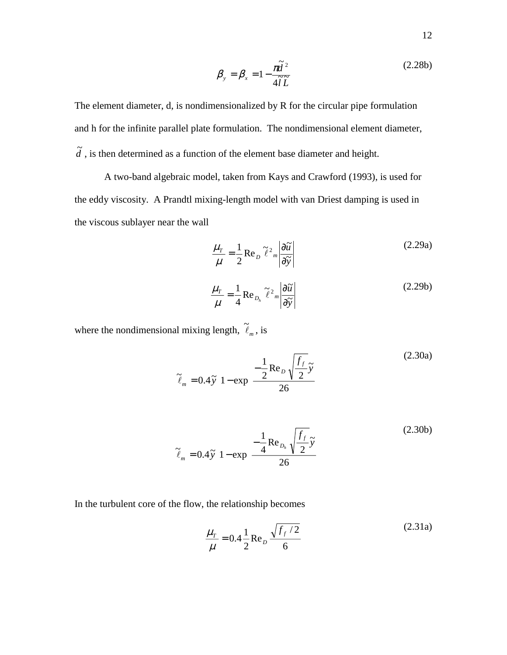$$
\beta_{y} = \beta_{x} = 1 - \frac{\pi \tilde{d}^{2}}{4\tilde{l}\tilde{L}}
$$
\n(2.28b)

The element diameter, d, is nondimensionalized by R for the circular pipe formulation and h for the infinite parallel plate formulation. The nondimensional element diameter,  $\tilde{d}$ , is then determined as a function of the element base diameter and height.

A two-band algebraic model, taken from Kays and Crawford (1993), is used for the eddy viscosity. A Prandtl mixing-length model with van Driest damping is used in the viscous sublayer near the wall

$$
\frac{\mu_{T}}{\mu} = \frac{1}{2} \operatorname{Re}_{D} \tilde{\ell}^{2}{}_{m} \left| \frac{\partial \tilde{u}}{\partial \tilde{y}} \right|
$$
\n(2.29a)\n
$$
\frac{\mu_{T}}{\mu} = \frac{1}{4} \operatorname{Re}_{D_{h}} \tilde{\ell}^{2}{}_{m} \left| \frac{\partial \tilde{u}}{\partial \tilde{y}} \right|
$$
\n(2.29b)

where the nondimensional mixing length,  $\tilde{\ell}_m$ , is

$$
\tilde{\ell}_m = 0.4\tilde{\gamma} \left[ 1 - \exp\left( \frac{-\frac{1}{2} \text{Re}_D \sqrt{\frac{f_f}{2} \tilde{\gamma}}}{26} \right) \right]
$$
(2.30a)  

$$
\tilde{\ell}_m = 0.4\tilde{\gamma} \left[ 1 - \exp\left( \frac{-\frac{1}{4} \text{Re}_{D_h} \sqrt{\frac{f_f}{2} \tilde{\gamma}}}{26} \right) \right]
$$
(2.30b)

In the turbulent core of the flow, the relationship becomes

$$
\frac{\mu_r}{\mu} = 0.4 \frac{1}{2} \text{Re}_D \frac{\sqrt{f_f / 2}}{6}
$$
 (2.31a)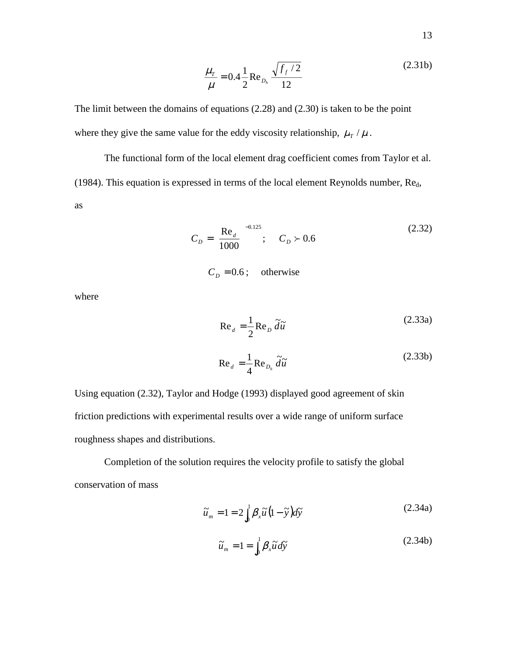$$
\frac{\mu_r}{\mu} = 0.4 \frac{1}{2} \text{Re}_{D_h} \frac{\sqrt{f_f / 2}}{12}
$$
 (2.31b)

The limit between the domains of equations (2.28) and (2.30) is taken to be the point where they give the same value for the eddy viscosity relationship,  $\mu$ <sub>*T*</sub> /  $\mu$ .

 The functional form of the local element drag coefficient comes from Taylor et al. (1984). This equation is expressed in terms of the local element Reynolds number,  $Re<sub>d</sub>$ , as

$$
C_D = \left(\frac{\text{Re}_d}{1000}\right)^{-0.125}; \quad C_D \succ 0.6 \tag{2.32}
$$

 $C_D = 0.6$ ; otherwise

where

$$
Re_{d} = \frac{1}{2} Re_{D} \tilde{d}\tilde{u}
$$
 (2.33a)  

$$
Re_{d} = \frac{1}{4} Re_{D_{h}} \tilde{d}\tilde{u}
$$
 (2.33b)

Using equation (2.32), Taylor and Hodge (1993) displayed good agreement of skin friction predictions with experimental results over a wide range of uniform surface roughness shapes and distributions.

Completion of the solution requires the velocity profile to satisfy the global conservation of mass

$$
\widetilde{u}_m = 1 = 2 \int_0^1 \beta_x \widetilde{u} \left( 1 - \widetilde{y} \right) d\widetilde{y} \tag{2.34a}
$$

$$
\widetilde{u}_m = 1 = \int_0^1 \beta_x \widetilde{u} \, d\widetilde{y} \tag{2.34b}
$$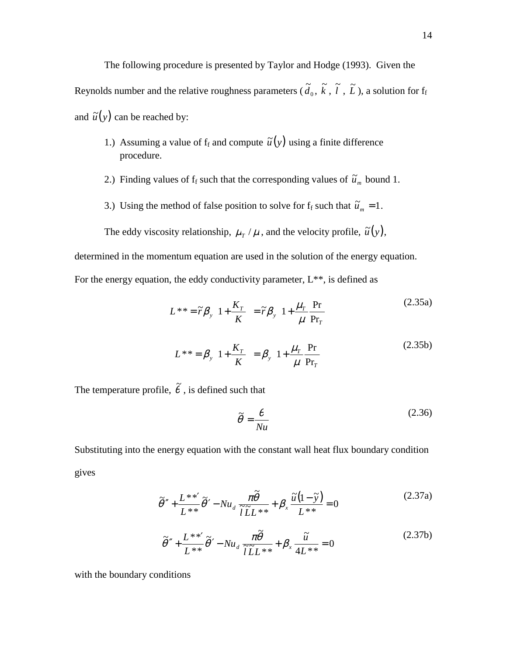The following procedure is presented by Taylor and Hodge (1993). Given the Reynolds number and the relative roughness parameters  $(\tilde{d}_0, \tilde{k}, \tilde{l}, \tilde{L})$ , a solution for  $f_f$ and  $\tilde{u}(y)$  can be reached by:

- 1.) Assuming a value of  $f_f$  and compute  $\tilde{u}(y)$  using a finite difference procedure.
- 2.) Finding values of  $f_f$  such that the corresponding values of  $\tilde{u}_m$  bound 1.
- 3.) Using the method of false position to solve for  $f_f$  such that  $\tilde{u}_m = 1$ .

The eddy viscosity relationship,  $\mu_T / \mu$ , and the velocity profile,  $\tilde{u}(y)$ ,

determined in the momentum equation are used in the solution of the energy equation.

For the energy equation, the eddy conductivity parameter,  $L^{**}$ , is defined as

$$
L^{**} = \tilde{r}\beta_y \left( 1 + \frac{K_T}{K} \right) = \tilde{r}\beta_y \left( 1 + \frac{\mu_T}{\mu} \frac{Pr}{Pr_T} \right)
$$
(2.35a)  

$$
L^{**} = \beta_y \left( 1 + \frac{K_T}{K} \right) = \beta_y \left( 1 + \frac{\mu_T}{\mu} \frac{Pr}{Pr_T} \right)
$$
(2.35b)

The temperature profile,  $\tilde{\theta}$  , is defined such that

$$
\tilde{\theta} = \frac{\theta}{Nu} \tag{2.36}
$$

Substituting into the energy equation with the constant wall heat flux boundary condition gives

$$
\widetilde{\theta}'' + \frac{L^{**'}}{L^{**}} \widetilde{\theta}' - Nu_d \frac{\pi \widetilde{\theta}}{\widetilde{L} L^{**}} + \beta_x \frac{\widetilde{u}(1-\widetilde{y})}{L^{**}} = 0
$$
\n(2.37a)

$$
\tilde{\theta}'' + \frac{L^{**'}}{L^{**}} \tilde{\theta}' - Nu_d \frac{\pi \tilde{\theta}}{\tilde{l} \tilde{L} L^{**}} + \beta_x \frac{\tilde{u}}{4L^{**}} = 0
$$
\n(2.37b)

with the boundary conditions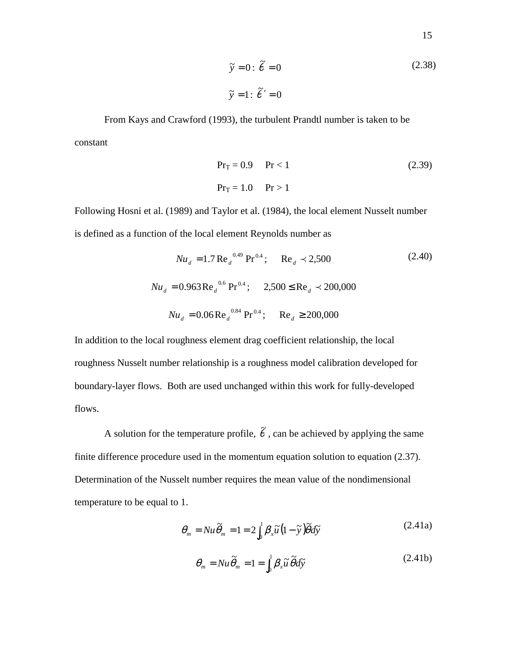$$
\tilde{y} = 0: \tilde{\theta} = 0
$$
\n
$$
\tilde{y} = 1: \tilde{\theta}' = 0
$$
\n(2.38)

 From Kays and Crawford (1993), the turbulent Prandtl number is taken to be constant

$$
PrT = 0.9 \tPr<1
$$
\n
$$
PrT = 1.0 \tPr>1
$$
\n(2.39)

Following Hosni et al. (1989) and Taylor et al. (1984), the local element Nusselt number is defined as a function of the local element Reynolds number as

$$
Nu_{d} = 1.7 \text{ Re}_{d}^{0.49} \text{ Pr}^{0.4}; \quad \text{Re}_{d} \prec 2,500
$$
(2.40)  

$$
Nu_{d} = 0.963 \text{ Re}_{d}^{0.6} \text{ Pr}^{0.4}; \quad 2,500 \le \text{Re}_{d} \prec 200,000
$$

$$
Nu_{d} = 0.06 \text{ Re}_{d}^{0.84} \text{ Pr}^{0.4}; \quad \text{Re}_{d} \ge 200,000
$$

In addition to the local roughness element drag coefficient relationship, the local roughness Nusselt number relationship is a roughness model calibration developed for boundary-layer flows. Both are used unchanged within this work for fully-developed flows.

A solution for the temperature profile,  $\tilde{\theta}$ , can be achieved by applying the same finite difference procedure used in the momentum equation solution to equation (2.37). Determination of the Nusselt number requires the mean value of the nondimensional temperature to be equal to 1.

$$
\theta_m = Nu \widetilde{\theta}_m = 1 = 2 \int_0^1 \beta_x \widetilde{u} (1 - \widetilde{y}) \widetilde{\theta} d\widetilde{y}
$$
\n(2.41a)

$$
\theta_m = Nu \widetilde{\theta}_m = 1 = \int_0^1 \beta_x \widetilde{u} \, \widetilde{\theta} d\widetilde{y}
$$
\n(2.41b)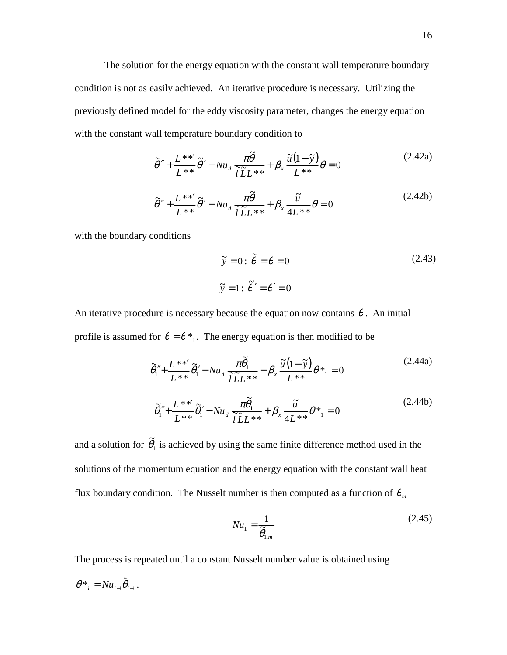The solution for the energy equation with the constant wall temperature boundary condition is not as easily achieved. An iterative procedure is necessary. Utilizing the previously defined model for the eddy viscosity parameter, changes the energy equation with the constant wall temperature boundary condition to

$$
\tilde{\theta}'' + \frac{L^{**'}}{L^{**}} \tilde{\theta}' - Nu_d \frac{\pi \tilde{\theta}}{\tilde{l} \tilde{L} L^{**}} + \beta_x \frac{\tilde{u}(1-\tilde{y})}{L^{**}} \theta = 0
$$
\n(2.42a)

$$
\tilde{\theta}'' + \frac{L^{**'}}{L^{**}} \tilde{\theta}' - Nu_d \frac{\pi \tilde{\theta}}{\tilde{l} \tilde{L} L^{**}} + \beta_x \frac{\tilde{u}}{4L^{**}} \theta = 0
$$
\n(2.42b)

with the boundary conditions

$$
\tilde{y} = 0: \tilde{\theta} = \theta = 0
$$
\n
$$
\tilde{y} = 1: \tilde{\theta}' = \theta' = 0
$$
\n(2.43)

An iterative procedure is necessary because the equation now contains  $\theta$ . An initial profile is assumed for  $\theta = \theta *_{1}$ . The energy equation is then modified to be

$$
\tilde{\theta}_{1}'' + \frac{L^{**'}}{L^{**}} \tilde{\theta}_{1}' - Nu_{d} \frac{\pi \tilde{\theta}_{1}}{\tilde{l} L^{**}} + \beta_{x} \frac{\tilde{u}(1-\tilde{y})}{L^{**}} \theta_{1}^{*} = 0
$$
\n
$$
\tilde{\theta}_{1}'' + \frac{L^{**'}}{L^{**}} \tilde{\theta}_{1}' - Nu_{d} \frac{\pi \tilde{\theta}_{1}}{\tilde{l} L^{**}} + \beta_{x} \frac{\tilde{u}}{4L^{**}} \theta_{1}^{*} = 0
$$
\n(2.44b)

and a solution for  $\tilde{\theta}_1$  is achieved by using the same finite difference method used in the solutions of the momentum equation and the energy equation with the constant wall heat flux boundary condition. The Nusselt number is then computed as a function of  $\theta_m$ 

$$
Nu_{1} = \frac{1}{\tilde{\theta}_{1,m}}\tag{2.45}
$$

The process is repeated until a constant Nusselt number value is obtained using

$$
\theta^*_{i} = N u_{i-1} \widetilde{\theta}_{i-1}.
$$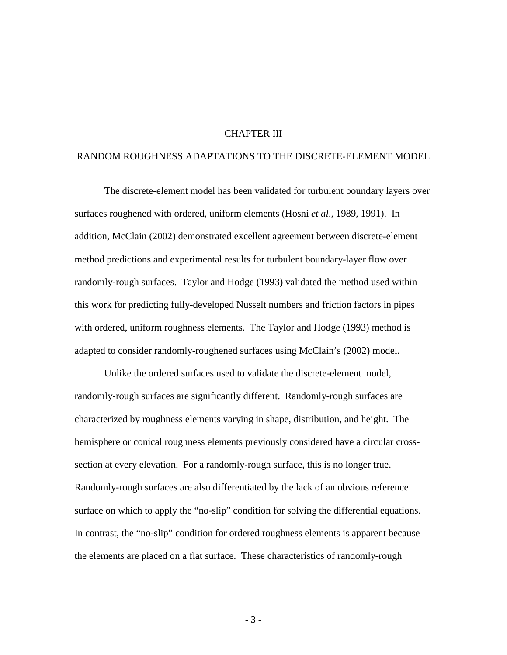#### CHAPTER III

#### RANDOM ROUGHNESS ADAPTATIONS TO THE DISCRETE-ELEMENT MODEL

 The discrete-element model has been validated for turbulent boundary layers over surfaces roughened with ordered, uniform elements (Hosni *et al*., 1989, 1991). In addition, McClain (2002) demonstrated excellent agreement between discrete-element method predictions and experimental results for turbulent boundary-layer flow over randomly-rough surfaces. Taylor and Hodge (1993) validated the method used within this work for predicting fully-developed Nusselt numbers and friction factors in pipes with ordered, uniform roughness elements. The Taylor and Hodge (1993) method is adapted to consider randomly-roughened surfaces using McClain's (2002) model.

Unlike the ordered surfaces used to validate the discrete-element model, randomly-rough surfaces are significantly different. Randomly-rough surfaces are characterized by roughness elements varying in shape, distribution, and height. The hemisphere or conical roughness elements previously considered have a circular crosssection at every elevation. For a randomly-rough surface, this is no longer true. Randomly-rough surfaces are also differentiated by the lack of an obvious reference surface on which to apply the "no-slip" condition for solving the differential equations. In contrast, the "no-slip" condition for ordered roughness elements is apparent because the elements are placed on a flat surface. These characteristics of randomly-rough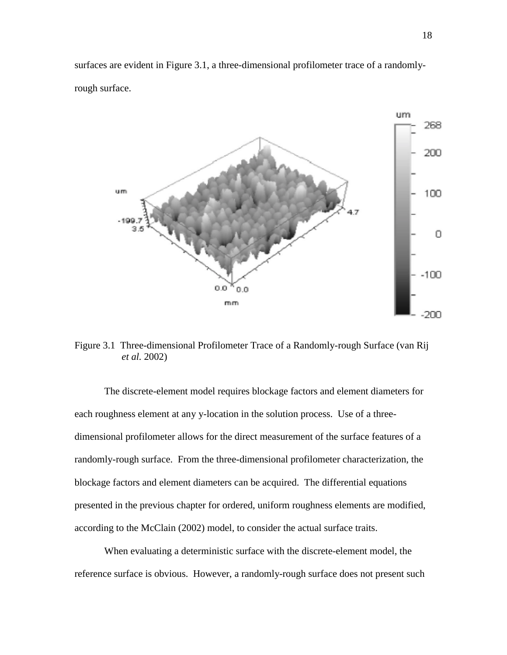surfaces are evident in Figure 3.1, a three-dimensional profilometer trace of a randomlyrough surface.



Figure 3.1 Three-dimensional Profilometer Trace of a Randomly-rough Surface (van Rij *et al.* 2002)

The discrete-element model requires blockage factors and element diameters for each roughness element at any y-location in the solution process. Use of a threedimensional profilometer allows for the direct measurement of the surface features of a randomly-rough surface. From the three-dimensional profilometer characterization, the blockage factors and element diameters can be acquired. The differential equations presented in the previous chapter for ordered, uniform roughness elements are modified, according to the McClain (2002) model, to consider the actual surface traits.

 When evaluating a deterministic surface with the discrete-element model, the reference surface is obvious. However, a randomly-rough surface does not present such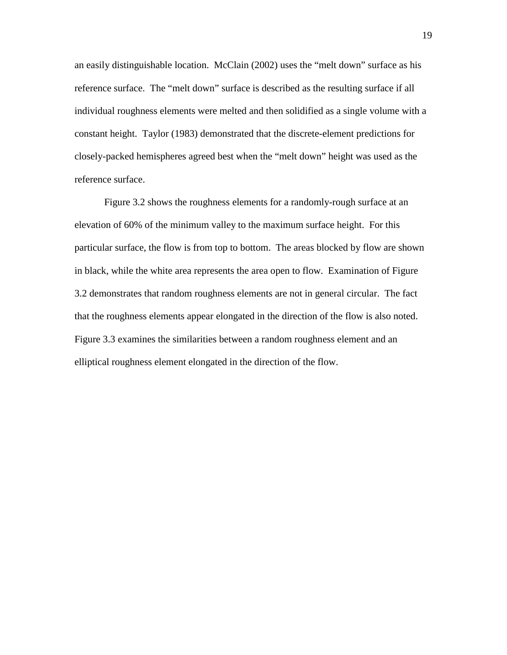an easily distinguishable location. McClain (2002) uses the "melt down" surface as his reference surface. The "melt down" surface is described as the resulting surface if all individual roughness elements were melted and then solidified as a single volume with a constant height. Taylor (1983) demonstrated that the discrete-element predictions for closely-packed hemispheres agreed best when the "melt down" height was used as the reference surface.

 Figure 3.2 shows the roughness elements for a randomly-rough surface at an elevation of 60% of the minimum valley to the maximum surface height. For this particular surface, the flow is from top to bottom. The areas blocked by flow are shown in black, while the white area represents the area open to flow. Examination of Figure 3.2 demonstrates that random roughness elements are not in general circular. The fact that the roughness elements appear elongated in the direction of the flow is also noted. Figure 3.3 examines the similarities between a random roughness element and an elliptical roughness element elongated in the direction of the flow.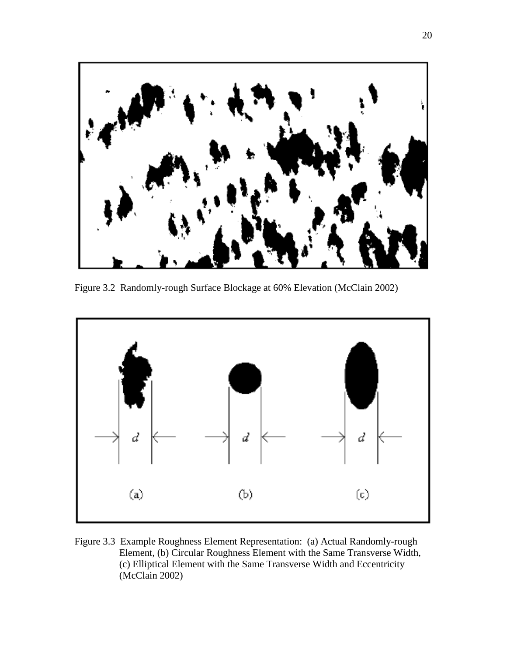

Figure 3.2 Randomly-rough Surface Blockage at 60% Elevation (McClain 2002)



Figure 3.3 Example Roughness Element Representation: (a) Actual Randomly-rough Element, (b) Circular Roughness Element with the Same Transverse Width, (c) Elliptical Element with the Same Transverse Width and Eccentricity (McClain 2002)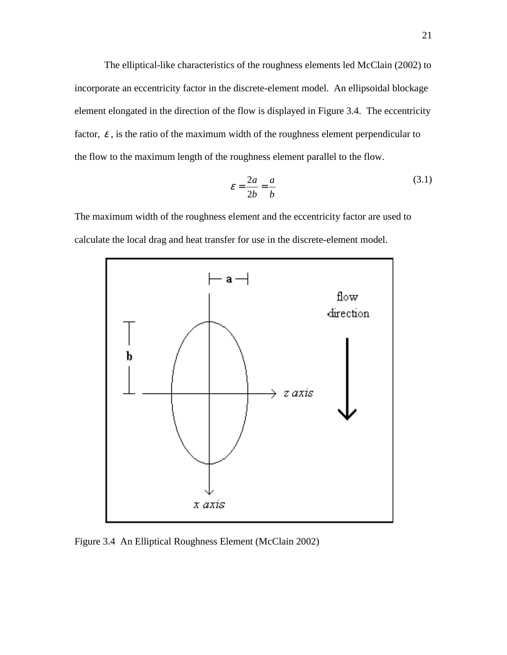The elliptical-like characteristics of the roughness elements led McClain (2002) to incorporate an eccentricity factor in the discrete-element model. An ellipsoidal blockage element elongated in the direction of the flow is displayed in Figure 3.4. The eccentricity factor,  $\varepsilon$ , is the ratio of the maximum width of the roughness element perpendicular to the flow to the maximum length of the roughness element parallel to the flow.

$$
\varepsilon = \frac{2a}{2b} = \frac{a}{b} \tag{3.1}
$$

The maximum width of the roughness element and the eccentricity factor are used to calculate the local drag and heat transfer for use in the discrete-element model.



Figure 3.4 An Elliptical Roughness Element (McClain 2002)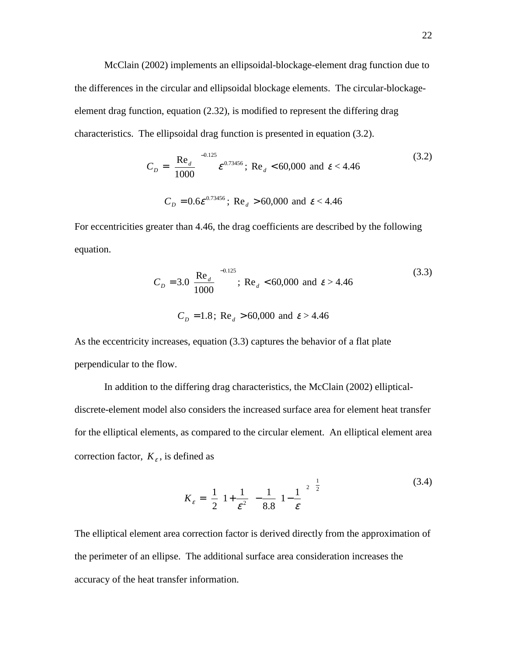McClain (2002) implements an ellipsoidal-blockage-element drag function due to the differences in the circular and ellipsoidal blockage elements. The circular-blockageelement drag function, equation (2.32), is modified to represent the differing drag characteristics. The ellipsoidal drag function is presented in equation (3.2).

$$
C_D = \left(\frac{\text{Re}_d}{1000}\right)^{-0.125} \varepsilon^{0.73456}; \text{ Re}_d < 60,000 \text{ and } \varepsilon < 4.46
$$
\n
$$
C_D = 0.6 \varepsilon^{0.73456}; \text{ Re}_d > 60,000 \text{ and } \varepsilon < 4.46
$$
\n
$$
(3.2)
$$

For eccentricities greater than 4.46, the drag coefficients are described by the following equation.

$$
C_D = 3.0 \left( \frac{\text{Re}_d}{1000} \right)^{-0.125}; \text{ Re}_d < 60,000 \text{ and } \varepsilon > 4.46
$$
\n
$$
C_D = 1.8; \text{ Re}_d > 60,000 \text{ and } \varepsilon > 4.46
$$
\n(3.3)

As the eccentricity increases, equation (3.3) captures the behavior of a flat plate perpendicular to the flow.

 In addition to the differing drag characteristics, the McClain (2002) ellipticaldiscrete-element model also considers the increased surface area for element heat transfer for the elliptical elements, as compared to the circular element. An elliptical element area correction factor,  $K<sub>e</sub>$ , is defined as

$$
K_{\varepsilon} = \left[\frac{1}{2}\left(1 + \frac{1}{\varepsilon^2}\right) - \frac{1}{8.8}\left(1 - \frac{1}{\varepsilon}\right)^2\right]^{\frac{1}{2}}
$$
(3.4)

The elliptical element area correction factor is derived directly from the approximation of the perimeter of an ellipse. The additional surface area consideration increases the accuracy of the heat transfer information.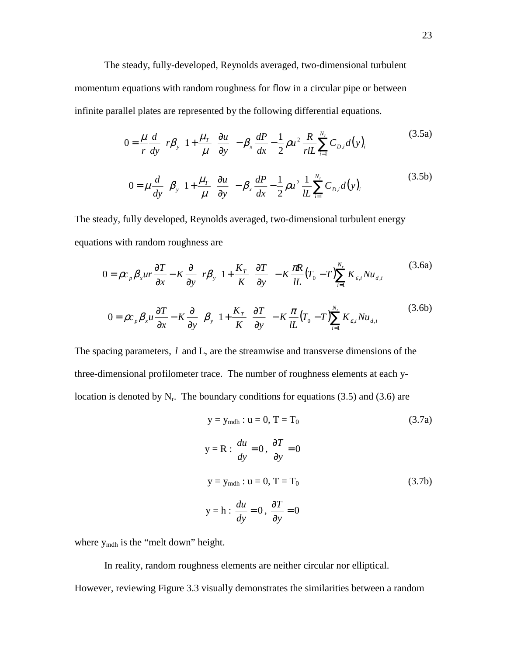The steady, fully-developed, Reynolds averaged, two-dimensional turbulent momentum equations with random roughness for flow in a circular pipe or between infinite parallel plates are represented by the following differential equations.

$$
0 = \frac{\mu}{r} \frac{d}{dy} \left[ r \beta_y \left( 1 + \frac{\mu_r}{\mu} \right) \frac{\partial u}{\partial y} \right] - \beta_x \frac{dP}{dx} - \frac{1}{2} \rho u^2 \frac{R}{r l L} \sum_{i=1}^{N_r} C_{D,i} d(y)_i
$$
(3.5a)  

$$
0 = \mu \frac{d}{dy} \left[ \beta_y \left( 1 + \frac{\mu_r}{\mu} \right) \frac{\partial u}{\partial y} \right] - \beta_x \frac{dP}{dx} - \frac{1}{2} \rho u^2 \frac{1}{l L} \sum_{i=1}^{N_r} C_{D,i} d(y)_i
$$
(3.5b)

The steady, fully developed, Reynolds averaged, two-dimensional turbulent energy equations with random roughness are

$$
0 = \rho c_p \beta_x u r \frac{\partial T}{\partial x} - K \frac{\partial}{\partial y} \left[ r \beta_y \left( 1 + \frac{K_T}{K} \right) \frac{\partial T}{\partial y} \right] - K \frac{\pi R}{lL} (T_0 - T) \sum_{i=1}^{N_r} K_{\varepsilon, i} N u_{d,i}
$$
(3.6a)  

$$
0 = \rho c_p \beta_x u \frac{\partial T}{\partial x} - K \frac{\partial}{\partial y} \left[ \beta_y \left( 1 + \frac{K_T}{K} \right) \frac{\partial T}{\partial y} \right] - K \frac{\pi}{lL} (T_0 - T) \sum_{i=1}^{N_r} K_{\varepsilon, i} N u_{d,i}
$$
(3.6b)

The spacing parameters, *l* and L, are the streamwise and transverse dimensions of the three-dimensional profilometer trace. The number of roughness elements at each ylocation is denoted by  $N_r$ . The boundary conditions for equations (3.5) and (3.6) are

$$
y = y_{\text{mdh}} : u = 0, T = T_0 \tag{3.7a}
$$
\n
$$
y = R : \frac{du}{dy} = 0, \frac{\partial T}{\partial y} = 0
$$
\n
$$
y = y_{\text{mdh}} : u = 0, T = T_0 \tag{3.7b}
$$
\n
$$
y = h : \frac{du}{dy} = 0, \frac{\partial T}{\partial y} = 0 \tag{3.7b}
$$

where  $y_{\text{mdh}}$  is the "melt down" height.

 In reality, random roughness elements are neither circular nor elliptical. However, reviewing Figure 3.3 visually demonstrates the similarities between a random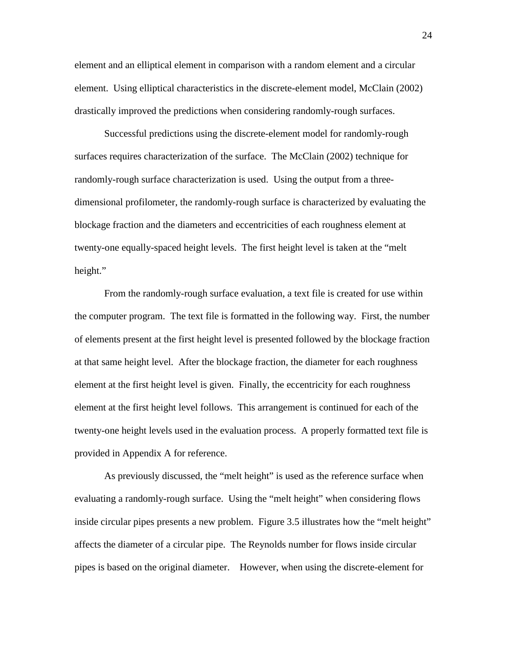element and an elliptical element in comparison with a random element and a circular element. Using elliptical characteristics in the discrete-element model, McClain (2002) drastically improved the predictions when considering randomly-rough surfaces.

 Successful predictions using the discrete-element model for randomly-rough surfaces requires characterization of the surface. The McClain (2002) technique for randomly-rough surface characterization is used. Using the output from a threedimensional profilometer, the randomly-rough surface is characterized by evaluating the blockage fraction and the diameters and eccentricities of each roughness element at twenty-one equally-spaced height levels. The first height level is taken at the "melt height."

From the randomly-rough surface evaluation, a text file is created for use within the computer program. The text file is formatted in the following way. First, the number of elements present at the first height level is presented followed by the blockage fraction at that same height level. After the blockage fraction, the diameter for each roughness element at the first height level is given. Finally, the eccentricity for each roughness element at the first height level follows. This arrangement is continued for each of the twenty-one height levels used in the evaluation process. A properly formatted text file is provided in Appendix A for reference.

As previously discussed, the "melt height" is used as the reference surface when evaluating a randomly-rough surface. Using the "melt height" when considering flows inside circular pipes presents a new problem. Figure 3.5 illustrates how the "melt height" affects the diameter of a circular pipe. The Reynolds number for flows inside circular pipes is based on the original diameter. However, when using the discrete-element for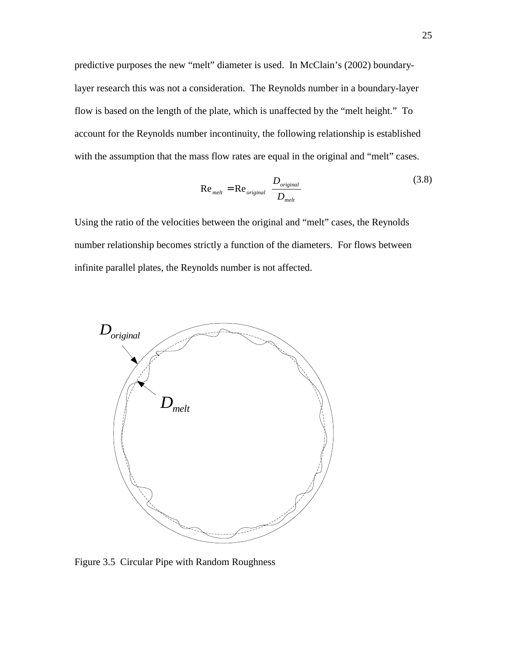predictive purposes the new "melt" diameter is used. In McClain's (2002) boundarylayer research this was not a consideration. The Reynolds number in a boundary-layer flow is based on the length of the plate, which is unaffected by the "melt height." To account for the Reynolds number incontinuity, the following relationship is established with the assumption that the mass flow rates are equal in the original and "melt" cases.

$$
\text{Re}_{\text{melt}} = \text{Re}_{\text{original}} \left( \frac{D_{\text{original}}}{D_{\text{melt}}} \right)
$$
 (3.8)

Using the ratio of the velocities between the original and "melt" cases, the Reynolds number relationship becomes strictly a function of the diameters. For flows between infinite parallel plates, the Reynolds number is not affected.



Figure 3.5 Circular Pipe with Random Roughness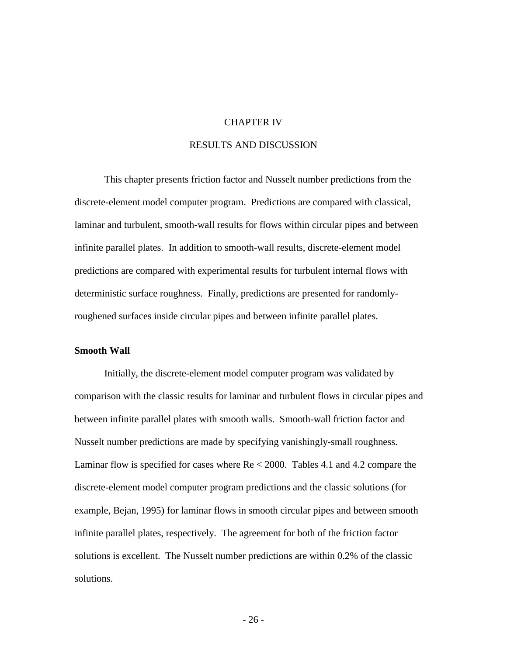#### CHAPTER IV

#### RESULTS AND DISCUSSION

This chapter presents friction factor and Nusselt number predictions from the discrete-element model computer program. Predictions are compared with classical, laminar and turbulent, smooth-wall results for flows within circular pipes and between infinite parallel plates. In addition to smooth-wall results, discrete-element model predictions are compared with experimental results for turbulent internal flows with deterministic surface roughness. Finally, predictions are presented for randomlyroughened surfaces inside circular pipes and between infinite parallel plates.

#### **Smooth Wall**

 Initially, the discrete-element model computer program was validated by comparison with the classic results for laminar and turbulent flows in circular pipes and between infinite parallel plates with smooth walls. Smooth-wall friction factor and Nusselt number predictions are made by specifying vanishingly-small roughness. Laminar flow is specified for cases where Re < 2000. Tables 4.1 and 4.2 compare the discrete-element model computer program predictions and the classic solutions (for example, Bejan, 1995) for laminar flows in smooth circular pipes and between smooth infinite parallel plates, respectively. The agreement for both of the friction factor solutions is excellent. The Nusselt number predictions are within 0.2% of the classic solutions.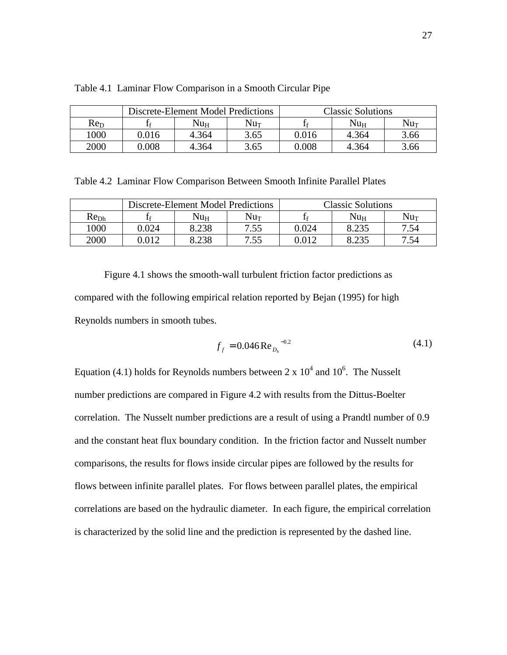|                 | Discrete-Element Model Predictions |              | <b>Classic Solutions</b> |       |              |          |
|-----------------|------------------------------------|--------------|--------------------------|-------|--------------|----------|
| Re <sub>D</sub> |                                    | $Nu_{\rm H}$ | $\rm Nu_{T}$             |       | $Nu_{\rm H}$ | $Nu_{T}$ |
| 1000            | 0.016                              | 4.364        | 3.65                     | 0.016 | 4.364        | 3.66     |
| 2000            | 0.008                              | 4.364        | 3.65                     | 0.008 | 4.364        | 3.66     |

Table 4.1 Laminar Flow Comparison in a Smooth Circular Pipe

Table 4.2 Laminar Flow Comparison Between Smooth Infinite Parallel Plates

|                  | Discrete-Element Model Predictions |       |      | <b>Classic Solutions</b> |              |        |  |
|------------------|------------------------------------|-------|------|--------------------------|--------------|--------|--|
| Re <sub>Dh</sub> |                                    | Nuн   | Nuт  |                          | $Nu_{\rm H}$ | $Nu_T$ |  |
| 1000             | 0.024                              | 8.238 | 7.55 | 0.024                    | 8.235        | 7.54   |  |
| 2000             | 0.012                              | 8.238 | 7.55 | 0.012                    | 8.235        | 7.54   |  |

 Figure 4.1 shows the smooth-wall turbulent friction factor predictions as compared with the following empirical relation reported by Bejan (1995) for high Reynolds numbers in smooth tubes.

$$
f_f = 0.046 \text{Re}_{D_h}^{-0.2} \tag{4.1}
$$

Equation (4.1) holds for Reynolds numbers between  $2 \times 10^4$  and  $10^6$ . The Nusselt number predictions are compared in Figure 4.2 with results from the Dittus-Boelter correlation. The Nusselt number predictions are a result of using a Prandtl number of 0.9 and the constant heat flux boundary condition. In the friction factor and Nusselt number comparisons, the results for flows inside circular pipes are followed by the results for flows between infinite parallel plates. For flows between parallel plates, the empirical correlations are based on the hydraulic diameter. In each figure, the empirical correlation is characterized by the solid line and the prediction is represented by the dashed line.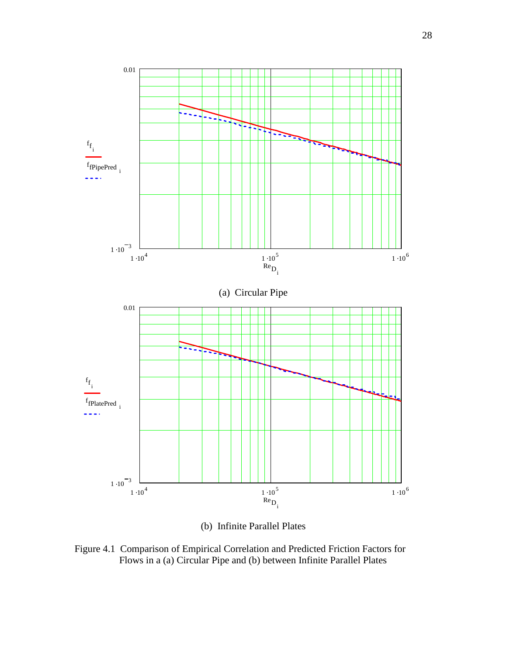

(b) Infinite Parallel Plates

Figure 4.1 Comparison of Empirical Correlation and Predicted Friction Factors for Flows in a (a) Circular Pipe and (b) between Infinite Parallel Plates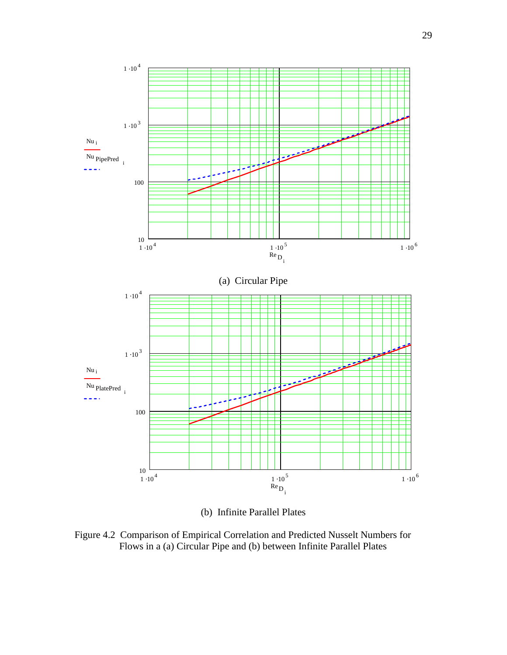

(b) Infinite Parallel Plates

Figure 4.2 Comparison of Empirical Correlation and Predicted Nusselt Numbers for Flows in a (a) Circular Pipe and (b) between Infinite Parallel Plates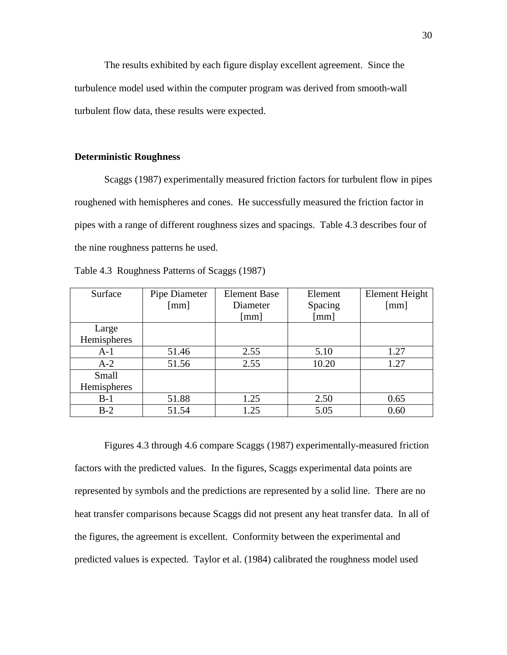The results exhibited by each figure display excellent agreement. Since the turbulence model used within the computer program was derived from smooth-wall turbulent flow data, these results were expected.

#### **Deterministic Roughness**

 Scaggs (1987) experimentally measured friction factors for turbulent flow in pipes roughened with hemispheres and cones. He successfully measured the friction factor in pipes with a range of different roughness sizes and spacings. Table 4.3 describes four of the nine roughness patterns he used.

| Table 4.3 Roughness Patterns of Scaggs (1987) |  |
|-----------------------------------------------|--|
|-----------------------------------------------|--|

| Surface     | Pipe Diameter | <b>Element Base</b>  | Element | Element Height |
|-------------|---------------|----------------------|---------|----------------|
|             | [mm]          | Diameter             | Spacing | [mm]           |
|             |               | $\lceil$ mm $\rceil$ | [mm]    |                |
| Large       |               |                      |         |                |
| Hemispheres |               |                      |         |                |
| $A-1$       | 51.46         | 2.55                 | 5.10    | 1.27           |
| $A-2$       | 51.56         | 2.55                 | 10.20   | 1.27           |
| Small       |               |                      |         |                |
| Hemispheres |               |                      |         |                |
| $B-1$       | 51.88         | 1.25                 | 2.50    | 0.65           |
| $B-2$       | 51.54         | 1.25                 | 5.05    | 0.60           |

 Figures 4.3 through 4.6 compare Scaggs (1987) experimentally-measured friction factors with the predicted values. In the figures, Scaggs experimental data points are represented by symbols and the predictions are represented by a solid line. There are no heat transfer comparisons because Scaggs did not present any heat transfer data. In all of the figures, the agreement is excellent. Conformity between the experimental and predicted values is expected. Taylor et al. (1984) calibrated the roughness model used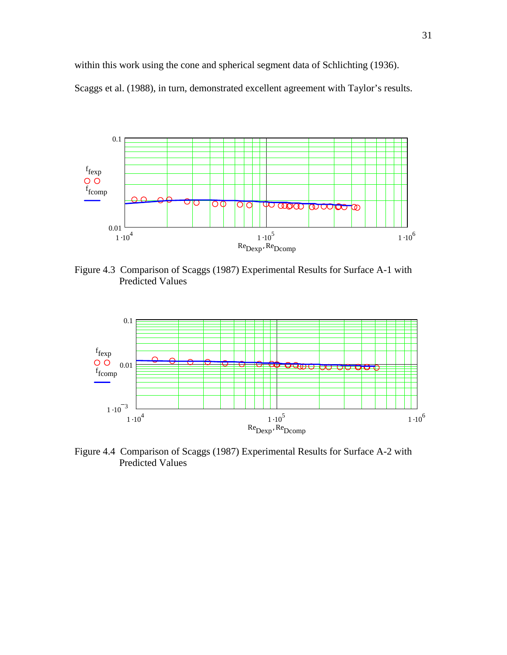within this work using the cone and spherical segment data of Schlichting (1936).

Scaggs et al. (1988), in turn, demonstrated excellent agreement with Taylor's results.



Figure 4.3 Comparison of Scaggs (1987) Experimental Results for Surface A-1 with Predicted Values



Figure 4.4 Comparison of Scaggs (1987) Experimental Results for Surface A-2 with Predicted Values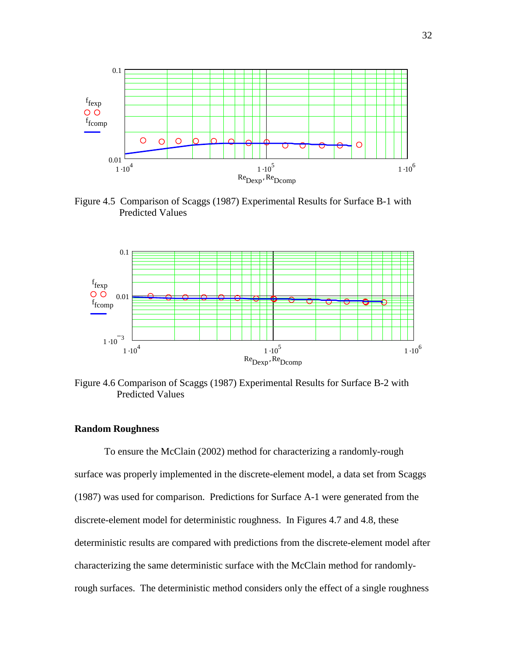

Figure 4.5 Comparison of Scaggs (1987) Experimental Results for Surface B-1 with Predicted Values



Figure 4.6 Comparison of Scaggs (1987) Experimental Results for Surface B-2 with Predicted Values

#### **Random Roughness**

To ensure the McClain (2002) method for characterizing a randomly-rough surface was properly implemented in the discrete-element model, a data set from Scaggs (1987) was used for comparison. Predictions for Surface A-1 were generated from the discrete-element model for deterministic roughness. In Figures 4.7 and 4.8, these deterministic results are compared with predictions from the discrete-element model after characterizing the same deterministic surface with the McClain method for randomlyrough surfaces. The deterministic method considers only the effect of a single roughness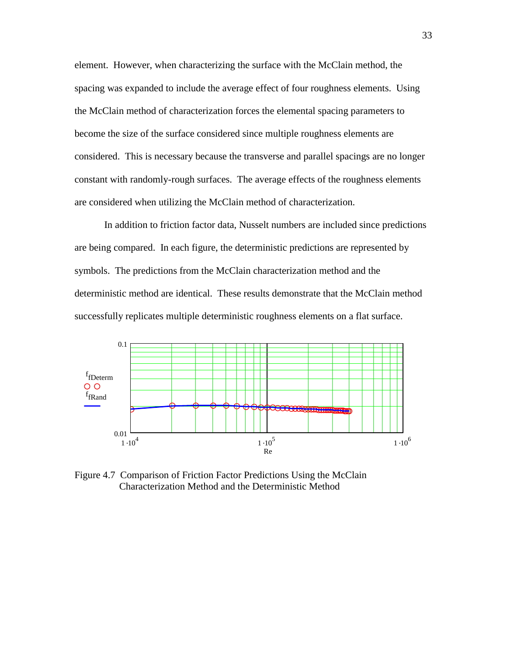element. However, when characterizing the surface with the McClain method, the spacing was expanded to include the average effect of four roughness elements. Using the McClain method of characterization forces the elemental spacing parameters to become the size of the surface considered since multiple roughness elements are considered. This is necessary because the transverse and parallel spacings are no longer constant with randomly-rough surfaces. The average effects of the roughness elements are considered when utilizing the McClain method of characterization.

In addition to friction factor data, Nusselt numbers are included since predictions are being compared. In each figure, the deterministic predictions are represented by symbols. The predictions from the McClain characterization method and the deterministic method are identical. These results demonstrate that the McClain method successfully replicates multiple deterministic roughness elements on a flat surface.



Figure 4.7 Comparison of Friction Factor Predictions Using the McClain Characterization Method and the Deterministic Method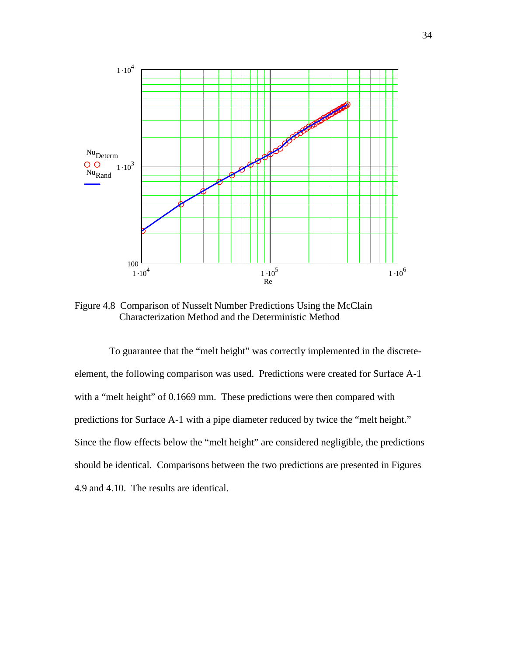

Figure 4.8 Comparison of Nusselt Number Predictions Using the McClain Characterization Method and the Deterministic Method

 To guarantee that the "melt height" was correctly implemented in the discreteelement, the following comparison was used. Predictions were created for Surface A-1 with a "melt height" of 0.1669 mm. These predictions were then compared with predictions for Surface A-1 with a pipe diameter reduced by twice the "melt height." Since the flow effects below the "melt height" are considered negligible, the predictions should be identical. Comparisons between the two predictions are presented in Figures 4.9 and 4.10. The results are identical.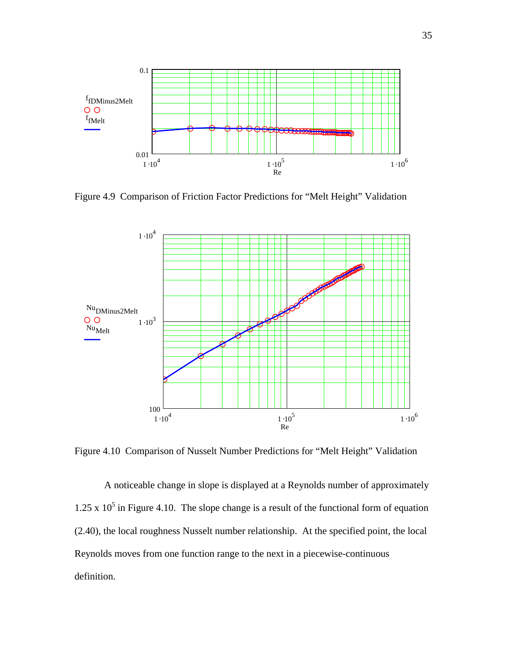

Figure 4.9 Comparison of Friction Factor Predictions for "Melt Height" Validation



Figure 4.10 Comparison of Nusselt Number Predictions for "Melt Height" Validation

 A noticeable change in slope is displayed at a Reynolds number of approximately 1.25 x  $10^5$  in Figure 4.10. The slope change is a result of the functional form of equation (2.40), the local roughness Nusselt number relationship. At the specified point, the local Reynolds moves from one function range to the next in a piecewise-continuous definition.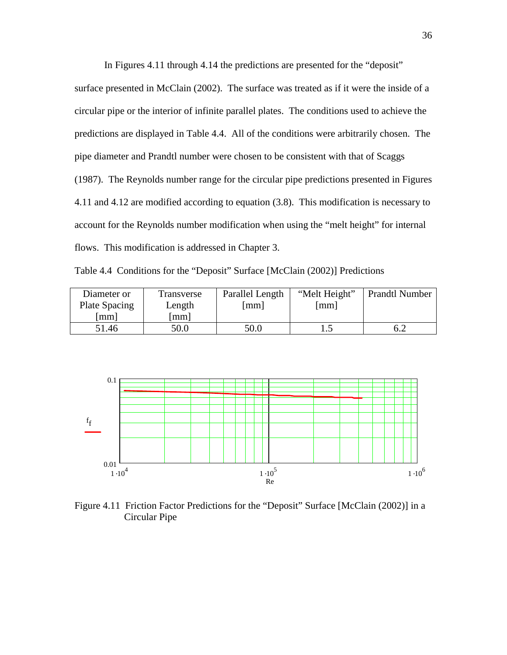In Figures 4.11 through 4.14 the predictions are presented for the "deposit"

surface presented in McClain (2002). The surface was treated as if it were the inside of a circular pipe or the interior of infinite parallel plates. The conditions used to achieve the predictions are displayed in Table 4.4. All of the conditions were arbitrarily chosen. The pipe diameter and Prandtl number were chosen to be consistent with that of Scaggs (1987). The Reynolds number range for the circular pipe predictions presented in Figures 4.11 and 4.12 are modified according to equation (3.8). This modification is necessary to account for the Reynolds number modification when using the "melt height" for internal flows. This modification is addressed in Chapter 3.

Table 4.4 Conditions for the "Deposit" Surface [McClain (2002)] Predictions

| Diameter or   | Transverse | Parallel Length | "Melt Height" | <b>Prandtl Number</b> |
|---------------|------------|-----------------|---------------|-----------------------|
| Plate Spacing | Length     | mm              | mm            |                       |
| mml           | mm         |                 |               |                       |
| 51.46         | 50.0       | 50.0            |               |                       |



Figure 4.11 Friction Factor Predictions for the "Deposit" Surface [McClain (2002)] in a Circular Pipe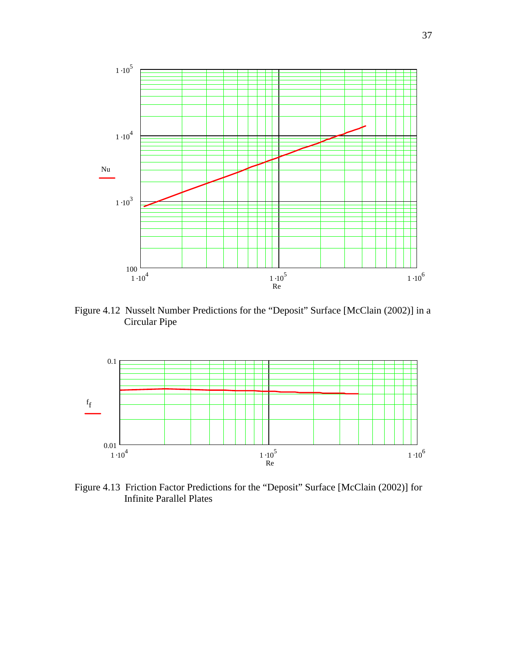

Figure 4.12 Nusselt Number Predictions for the "Deposit" Surface [McClain (2002)] in a Circular Pipe



Figure 4.13 Friction Factor Predictions for the "Deposit" Surface [McClain (2002)] for Infinite Parallel Plates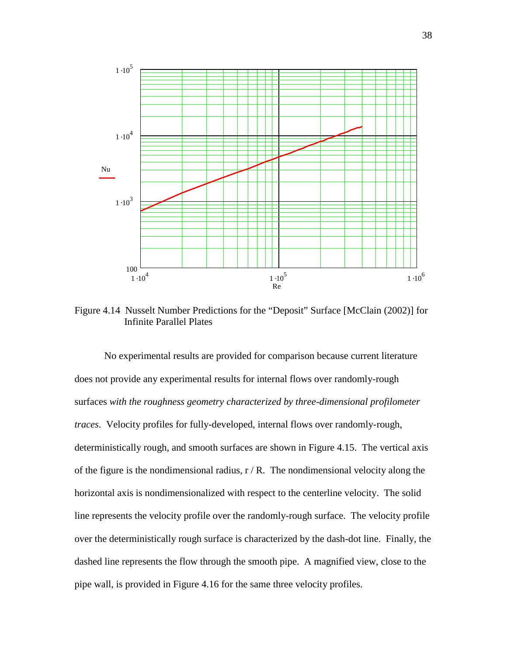

Figure 4.14 Nusselt Number Predictions for the "Deposit" Surface [McClain (2002)] for Infinite Parallel Plates

 No experimental results are provided for comparison because current literature does not provide any experimental results for internal flows over randomly-rough surfaces *with the roughness geometry characterized by three-dimensional profilometer traces*. Velocity profiles for fully-developed, internal flows over randomly-rough, deterministically rough, and smooth surfaces are shown in Figure 4.15. The vertical axis of the figure is the nondimensional radius,  $r/R$ . The nondimensional velocity along the horizontal axis is nondimensionalized with respect to the centerline velocity. The solid line represents the velocity profile over the randomly-rough surface. The velocity profile over the deterministically rough surface is characterized by the dash-dot line. Finally, the dashed line represents the flow through the smooth pipe. A magnified view, close to the pipe wall, is provided in Figure 4.16 for the same three velocity profiles.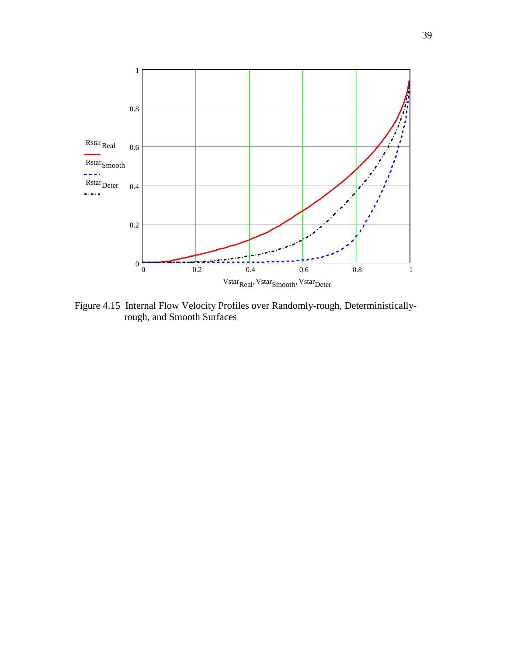

Figure 4.15 Internal Flow Velocity Profiles over Randomly-rough, Deterministically rough, and Smooth Surfaces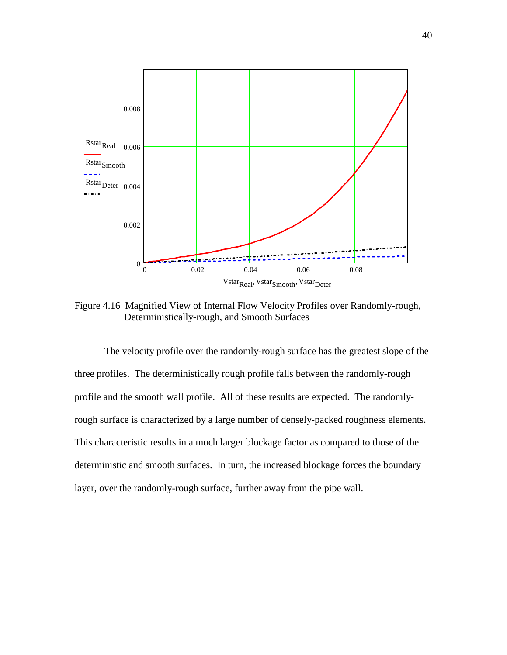

Figure 4.16 Magnified View of Internal Flow Velocity Profiles over Randomly-rough, Deterministically-rough, and Smooth Surfaces

The velocity profile over the randomly-rough surface has the greatest slope of the three profiles. The deterministically rough profile falls between the randomly-rough profile and the smooth wall profile. All of these results are expected. The randomlyrough surface is characterized by a large number of densely-packed roughness elements. This characteristic results in a much larger blockage factor as compared to those of the deterministic and smooth surfaces. In turn, the increased blockage forces the boundary layer, over the randomly-rough surface, further away from the pipe wall.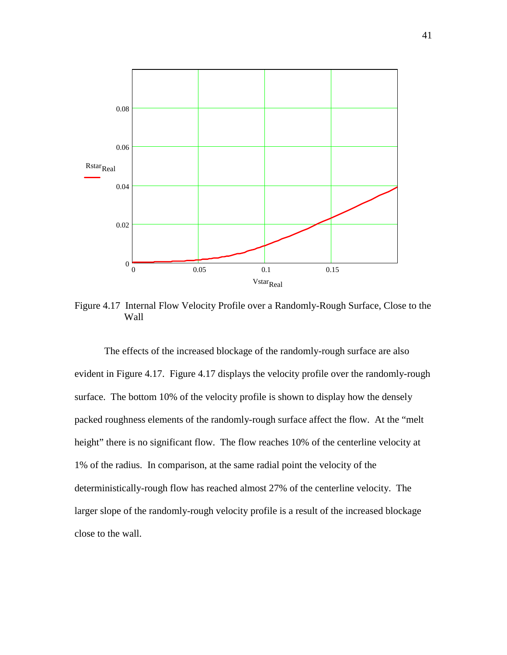

Figure 4.17 Internal Flow Velocity Profile over a Randomly-Rough Surface, Close to the Wall

 The effects of the increased blockage of the randomly-rough surface are also evident in Figure 4.17. Figure 4.17 displays the velocity profile over the randomly-rough surface. The bottom 10% of the velocity profile is shown to display how the densely packed roughness elements of the randomly-rough surface affect the flow. At the "melt height" there is no significant flow. The flow reaches 10% of the centerline velocity at 1% of the radius. In comparison, at the same radial point the velocity of the deterministically-rough flow has reached almost 27% of the centerline velocity. The larger slope of the randomly-rough velocity profile is a result of the increased blockage close to the wall.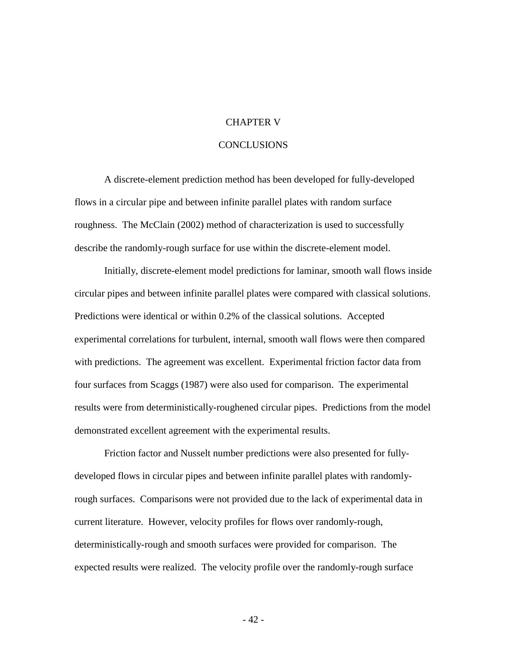#### CHAPTER V

#### **CONCLUSIONS**

A discrete-element prediction method has been developed for fully-developed flows in a circular pipe and between infinite parallel plates with random surface roughness. The McClain (2002) method of characterization is used to successfully describe the randomly-rough surface for use within the discrete-element model.

Initially, discrete-element model predictions for laminar, smooth wall flows inside circular pipes and between infinite parallel plates were compared with classical solutions. Predictions were identical or within 0.2% of the classical solutions. Accepted experimental correlations for turbulent, internal, smooth wall flows were then compared with predictions. The agreement was excellent. Experimental friction factor data from four surfaces from Scaggs (1987) were also used for comparison. The experimental results were from deterministically-roughened circular pipes. Predictions from the model demonstrated excellent agreement with the experimental results.

Friction factor and Nusselt number predictions were also presented for fullydeveloped flows in circular pipes and between infinite parallel plates with randomlyrough surfaces. Comparisons were not provided due to the lack of experimental data in current literature. However, velocity profiles for flows over randomly-rough, deterministically-rough and smooth surfaces were provided for comparison. The expected results were realized. The velocity profile over the randomly-rough surface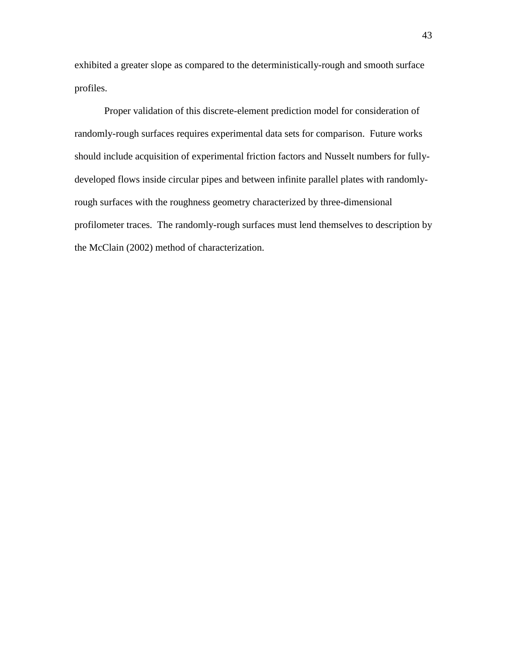exhibited a greater slope as compared to the deterministically-rough and smooth surface profiles.

Proper validation of this discrete-element prediction model for consideration of randomly-rough surfaces requires experimental data sets for comparison. Future works should include acquisition of experimental friction factors and Nusselt numbers for fullydeveloped flows inside circular pipes and between infinite parallel plates with randomlyrough surfaces with the roughness geometry characterized by three-dimensional profilometer traces. The randomly-rough surfaces must lend themselves to description by the McClain (2002) method of characterization.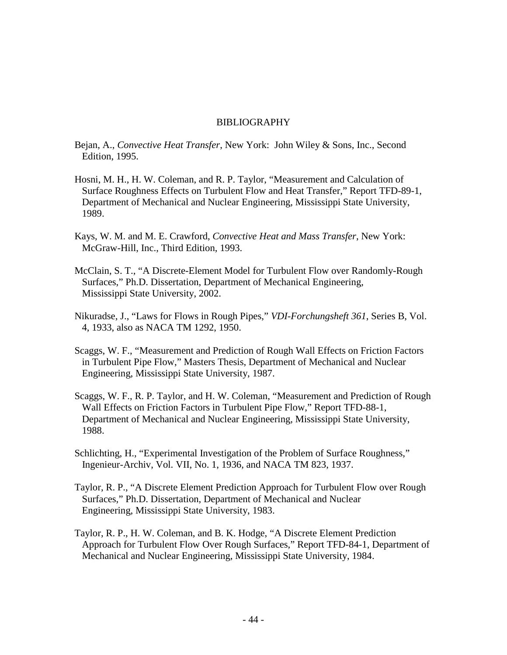#### BIBLIOGRAPHY

- Bejan, A., *Convective Heat Transfer*, New York: John Wiley & Sons, Inc., Second Edition, 1995.
- Hosni, M. H., H. W. Coleman, and R. P. Taylor, "Measurement and Calculation of Surface Roughness Effects on Turbulent Flow and Heat Transfer," Report TFD-89-1, Department of Mechanical and Nuclear Engineering, Mississippi State University, 1989.
- Kays, W. M. and M. E. Crawford, *Convective Heat and Mass Transfer*, New York: McGraw-Hill, Inc., Third Edition, 1993.
- McClain, S. T., "A Discrete-Element Model for Turbulent Flow over Randomly-Rough Surfaces," Ph.D. Dissertation, Department of Mechanical Engineering, Mississippi State University, 2002.
- Nikuradse, J., "Laws for Flows in Rough Pipes," *VDI-Forchungsheft 361*, Series B, Vol. 4, 1933, also as NACA TM 1292, 1950.
- Scaggs, W. F., "Measurement and Prediction of Rough Wall Effects on Friction Factors in Turbulent Pipe Flow," Masters Thesis, Department of Mechanical and Nuclear Engineering, Mississippi State University, 1987.
- Scaggs, W. F., R. P. Taylor, and H. W. Coleman, "Measurement and Prediction of Rough Wall Effects on Friction Factors in Turbulent Pipe Flow," Report TFD-88-1, Department of Mechanical and Nuclear Engineering, Mississippi State University, 1988.
- Schlichting, H., "Experimental Investigation of the Problem of Surface Roughness," Ingenieur-Archiv, Vol. VII, No. 1, 1936, and NACA TM 823, 1937.
- Taylor, R. P., "A Discrete Element Prediction Approach for Turbulent Flow over Rough Surfaces," Ph.D. Dissertation, Department of Mechanical and Nuclear Engineering, Mississippi State University, 1983.
- Taylor, R. P., H. W. Coleman, and B. K. Hodge, "A Discrete Element Prediction Approach for Turbulent Flow Over Rough Surfaces," Report TFD-84-1, Department of Mechanical and Nuclear Engineering, Mississippi State University, 1984.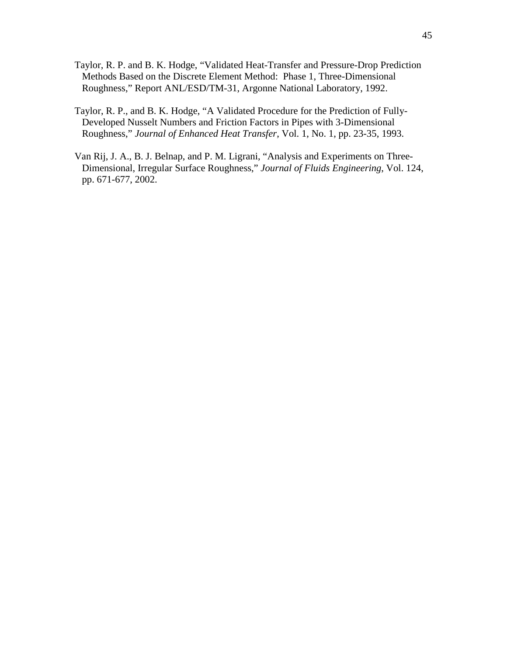- Taylor, R. P. and B. K. Hodge, "Validated Heat-Transfer and Pressure-Drop Prediction Methods Based on the Discrete Element Method: Phase 1, Three-Dimensional Roughness," Report ANL/ESD/TM-31, Argonne National Laboratory, 1992.
- Taylor, R. P., and B. K. Hodge, "A Validated Procedure for the Prediction of Fully- Developed Nusselt Numbers and Friction Factors in Pipes with 3-Dimensional Roughness," *Journal of Enhanced Heat Transfer*, Vol. 1, No. 1, pp. 23-35, 1993.
- Van Rij, J. A., B. J. Belnap, and P. M. Ligrani, "Analysis and Experiments on Three- Dimensional, Irregular Surface Roughness," *Journal of Fluids Engineering*, Vol. 124, pp. 671-677, 2002.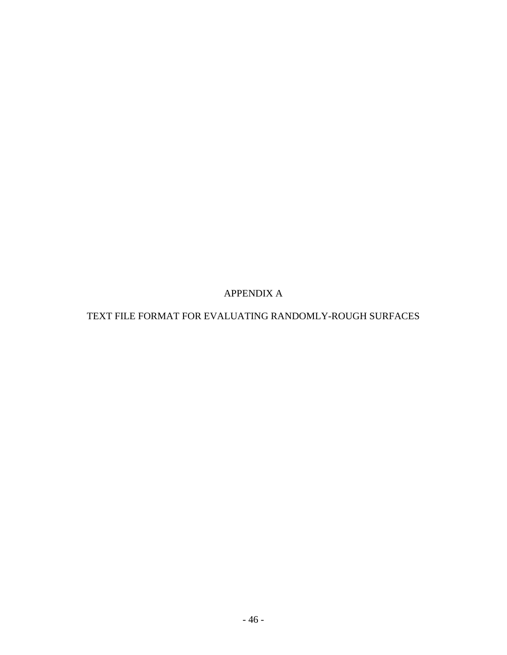APPENDIX A

## TEXT FILE FORMAT FOR EVALUATING RANDOMLY-ROUGH SURFACES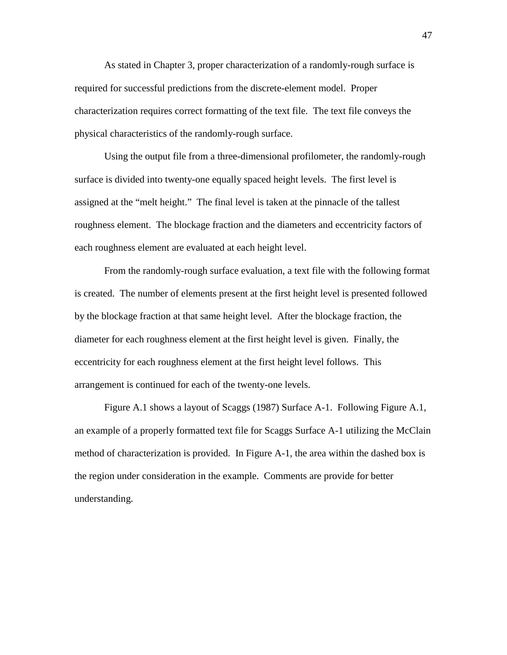As stated in Chapter 3, proper characterization of a randomly-rough surface is required for successful predictions from the discrete-element model. Proper characterization requires correct formatting of the text file. The text file conveys the physical characteristics of the randomly-rough surface.

 Using the output file from a three-dimensional profilometer, the randomly-rough surface is divided into twenty-one equally spaced height levels. The first level is assigned at the "melt height." The final level is taken at the pinnacle of the tallest roughness element. The blockage fraction and the diameters and eccentricity factors of each roughness element are evaluated at each height level.

 From the randomly-rough surface evaluation, a text file with the following format is created. The number of elements present at the first height level is presented followed by the blockage fraction at that same height level. After the blockage fraction, the diameter for each roughness element at the first height level is given. Finally, the eccentricity for each roughness element at the first height level follows. This arrangement is continued for each of the twenty-one levels.

 Figure A.1 shows a layout of Scaggs (1987) Surface A-1. Following Figure A.1, an example of a properly formatted text file for Scaggs Surface A-1 utilizing the McClain method of characterization is provided. In Figure A-1, the area within the dashed box is the region under consideration in the example. Comments are provide for better understanding.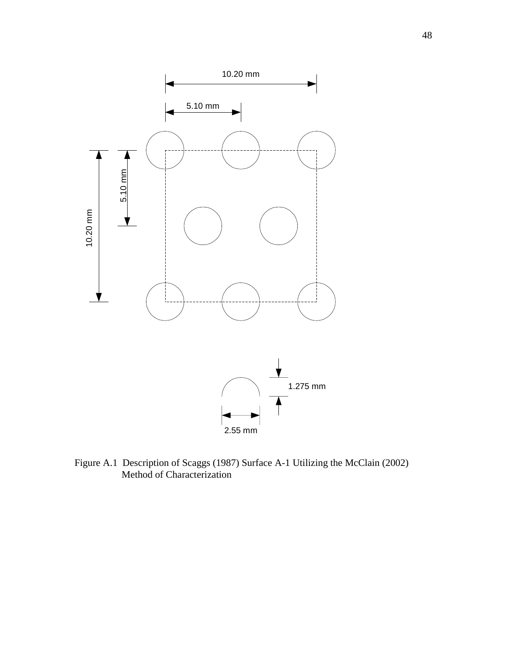

Figure A.1 Description of Scaggs (1987) Surface A-1 Utilizing the McClain (2002) Method of Characterization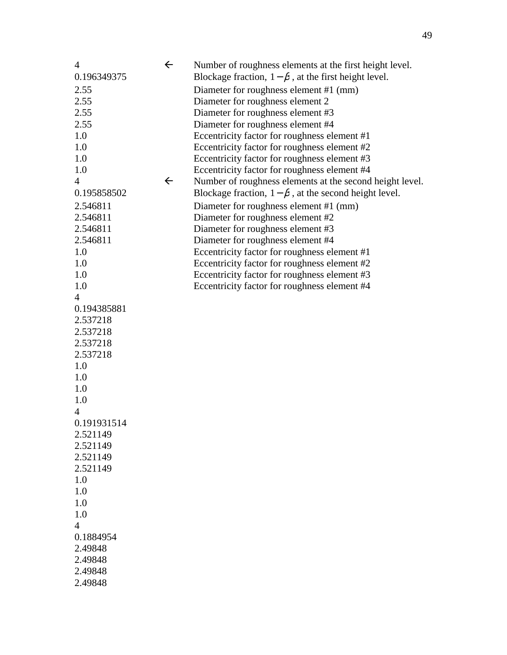| $\overline{4}$ | $\leftarrow$ | Number of roughness elements at the first height level.      |
|----------------|--------------|--------------------------------------------------------------|
| 0.196349375    |              | Blockage fraction, $1 - \beta$ , at the first height level.  |
| 2.55           |              | Diameter for roughness element #1 (mm)                       |
| 2.55           |              | Diameter for roughness element 2                             |
| 2.55           |              | Diameter for roughness element #3                            |
| 2.55           |              | Diameter for roughness element #4                            |
| 1.0            |              | Eccentricity factor for roughness element #1                 |
| 1.0            |              | Eccentricity factor for roughness element #2                 |
| 1.0            |              | Eccentricity factor for roughness element #3                 |
| 1.0            |              | Eccentricity factor for roughness element #4                 |
| $\overline{4}$ | $\leftarrow$ | Number of roughness elements at the second height level.     |
| 0.195858502    |              | Blockage fraction, $1 - \beta$ , at the second height level. |
| 2.546811       |              | Diameter for roughness element #1 (mm)                       |
| 2.546811       |              | Diameter for roughness element #2                            |
| 2.546811       |              | Diameter for roughness element #3                            |
| 2.546811       |              | Diameter for roughness element #4                            |
| 1.0            |              | Eccentricity factor for roughness element #1                 |
| 1.0            |              | Eccentricity factor for roughness element #2                 |
| 1.0            |              | Eccentricity factor for roughness element #3                 |
| 1.0            |              | Eccentricity factor for roughness element #4                 |
| $\overline{4}$ |              |                                                              |
| 0.194385881    |              |                                                              |
| 2.537218       |              |                                                              |
| 2.537218       |              |                                                              |
| 2.537218       |              |                                                              |
| 2.537218       |              |                                                              |
| 1.0            |              |                                                              |
| 1.0            |              |                                                              |
| 1.0            |              |                                                              |
| 1.0            |              |                                                              |
| 4              |              |                                                              |
| 0.191931514    |              |                                                              |
| 2.521149       |              |                                                              |
| 2.521149       |              |                                                              |
| 2.521149       |              |                                                              |
| 2.521149       |              |                                                              |
| 1.0            |              |                                                              |
| 1.0            |              |                                                              |
| 1.0            |              |                                                              |
| 1.0            |              |                                                              |
| $\overline{4}$ |              |                                                              |
| 0.1884954      |              |                                                              |
| 2.49848        |              |                                                              |
| 2.49848        |              |                                                              |
| 2.49848        |              |                                                              |
| 2.49848        |              |                                                              |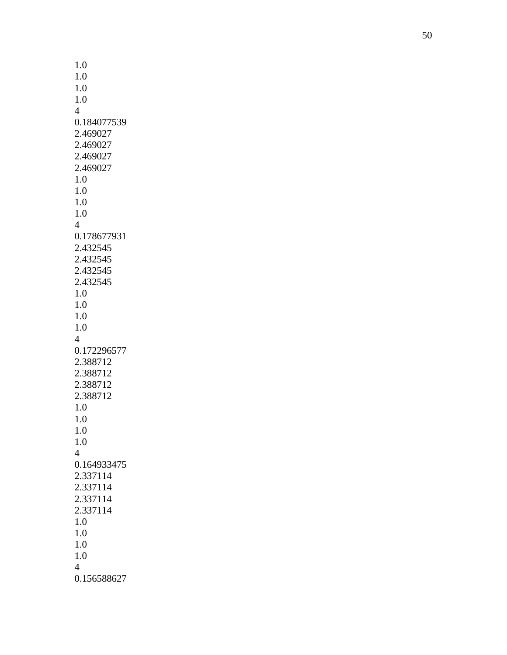| 1.0            |  |
|----------------|--|
|                |  |
| 1.0            |  |
| 1.0            |  |
| 1.0            |  |
|                |  |
| $\overline{4}$ |  |
| 0.184077539    |  |
|                |  |
| 2.469027       |  |
| 2.469027       |  |
|                |  |
| 2.469027       |  |
| 2.469027       |  |
| 1.0            |  |
|                |  |
| 1.0            |  |
| 1.0            |  |
|                |  |
| 1.0            |  |
| $\overline{4}$ |  |
|                |  |
| 0.178677931    |  |
| 2.432545       |  |
| 2.432545       |  |
|                |  |
| 2.432545       |  |
| 2.432545       |  |
|                |  |
| 1.0            |  |
| 1.0            |  |
| 1.0            |  |
|                |  |
| 1.0            |  |
| $\overline{4}$ |  |
|                |  |
| 0.172296577    |  |
| 2.388712       |  |
|                |  |
| 2.388712       |  |
| 2.388712       |  |
| 2.388712       |  |
|                |  |
| 1.0            |  |
| 1.0            |  |
|                |  |
| $_{\rm 1.0}$   |  |
| 1.0            |  |
| $\overline{4}$ |  |
|                |  |
| 0.164933475    |  |
| 2.337114       |  |
|                |  |
| 2.337114       |  |
| 2.337114       |  |
|                |  |
| 2.337114       |  |
| 1.0            |  |
| 1.0            |  |
|                |  |
| 1.0            |  |
| 1.0            |  |
|                |  |
| $\overline{4}$ |  |
| 0.156588627    |  |
|                |  |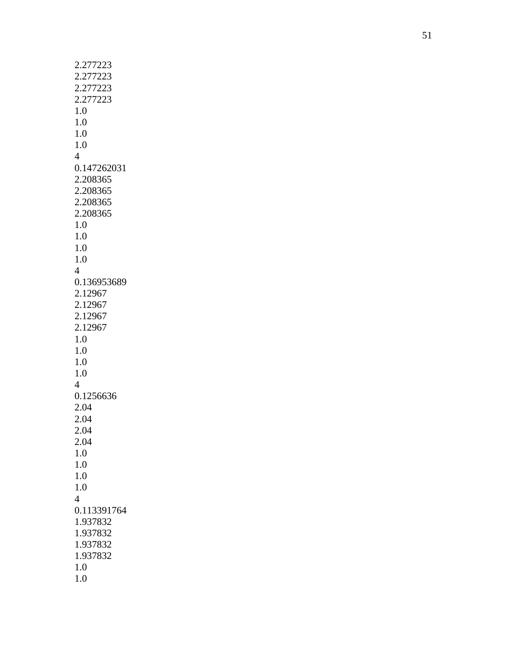| 2.277223       |  |
|----------------|--|
| 2.277223       |  |
| 2.277223       |  |
| 2.277223       |  |
| 1.0            |  |
| 1.0            |  |
|                |  |
| 1.0            |  |
| 1.0            |  |
| 4              |  |
| 0.147262031    |  |
| 2.208365       |  |
| 2.208365       |  |
| 2.208365       |  |
| 2.208365       |  |
| 1.0            |  |
| 1.0            |  |
| 1.0            |  |
| 1.0            |  |
|                |  |
| 4              |  |
| 0.136953689    |  |
| 2.12967        |  |
| 2.12967        |  |
| 2.12967        |  |
| 2.12967        |  |
| 1.0            |  |
| 1.0            |  |
| 1.0            |  |
| 1.0            |  |
| $\overline{4}$ |  |
| 0.1256636      |  |
|                |  |
| 2.04           |  |
| 2.04           |  |
| 2.04           |  |
| 2.04           |  |
| 1.0            |  |
| 1.0            |  |
| 1.0            |  |
| 1.0            |  |
| $\overline{4}$ |  |
| 0.113391764    |  |
| 1.937832       |  |
| 1.937832       |  |
| 1.937832       |  |
|                |  |
| 1.937832       |  |
| 1.0            |  |
| 1.0            |  |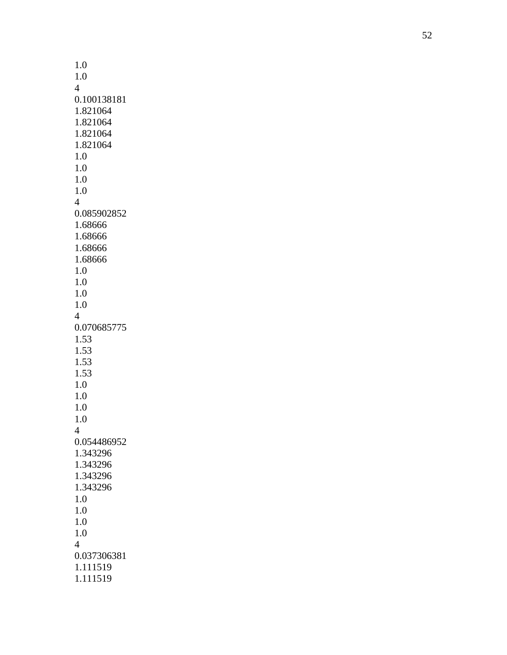| 1.0                      |
|--------------------------|
| 1.0                      |
| 4                        |
| 0.100138181              |
| 1.821064                 |
| 1.821064                 |
| 1.821064                 |
| 1.821064                 |
| 1.0                      |
| 1.0                      |
| 1.0                      |
| 1.0                      |
| $\overline{\mathcal{A}}$ |
| 0.085902852              |
| 1.68666                  |
| 1.68666                  |
| 1.68666                  |
| 1.68666                  |
| 1.0                      |
| 1.0                      |
| 1.0<br>1.0               |
| 4                        |
| 0.070685775              |
| 1.53                     |
| 1.53                     |
| 1.53                     |
| 1.53                     |
| 1.0                      |
| 1.0                      |
| 1.0                      |
| 1.0                      |
| $\overline{4}$           |
| 0.054486952              |
| 1.343296                 |
| 1.343296                 |
| 1.343296                 |
| 1.343296                 |
| 1.0                      |
| 1.0                      |
| 1.0                      |
| 1.0                      |
| $\overline{4}$           |
| 0.037306381              |
| 1.111519                 |
| 1.111519                 |